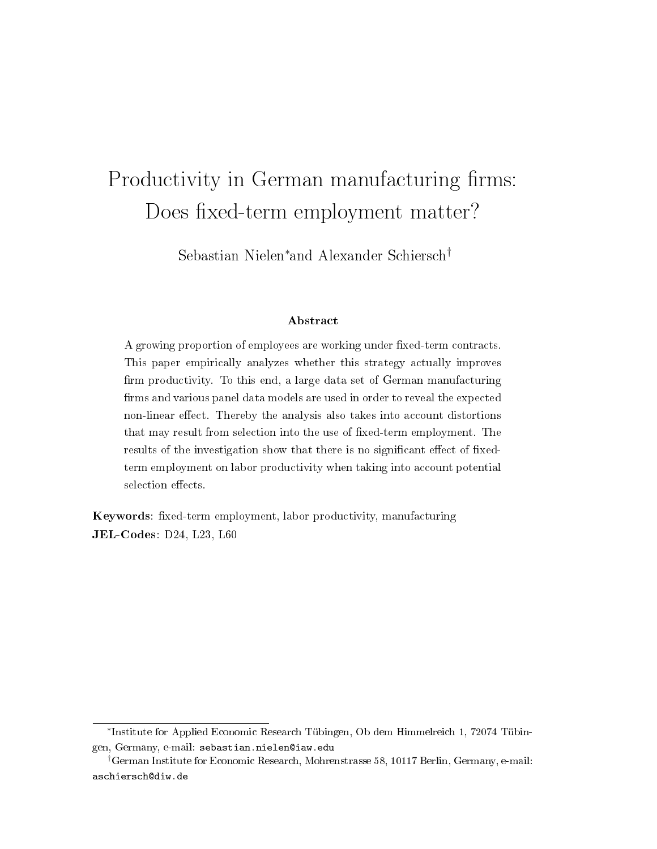# Productivity in German manufacturing firms: Does fixed-term employment matter?

Sebastian Nielen<sup>∗</sup> and Alexander Schiersch†

#### Abstract

A growing proportion of employees are working under fixed-term contracts. This paper empirically analyzes whether this strategy actually improves firm productivity. To this end, a large data set of German manufacturing rms and various panel data models are used in order to reveal the expected non-linear effect. Thereby the analysis also takes into account distortions that may result from selection into the use of fixed-term employment. The results of the investigation show that there is no significant effect of fixedterm employment on labor productivity when taking into account potential selection effects.

Keywords: fixed-term employment, labor productivity, manufacturing JEL-Codes: D24, L23, L60

<sup>∗</sup> Institute for Applied Economic Research Tübingen, Ob dem Himmelreich 1, 72074 Tübingen, Germany, e-mail: sebastian.nielen@iaw.edu

<sup>†</sup>German Institute for Economic Research, Mohrenstrasse 58, 10117 Berlin, Germany, e-mail: aschiersch@diw.de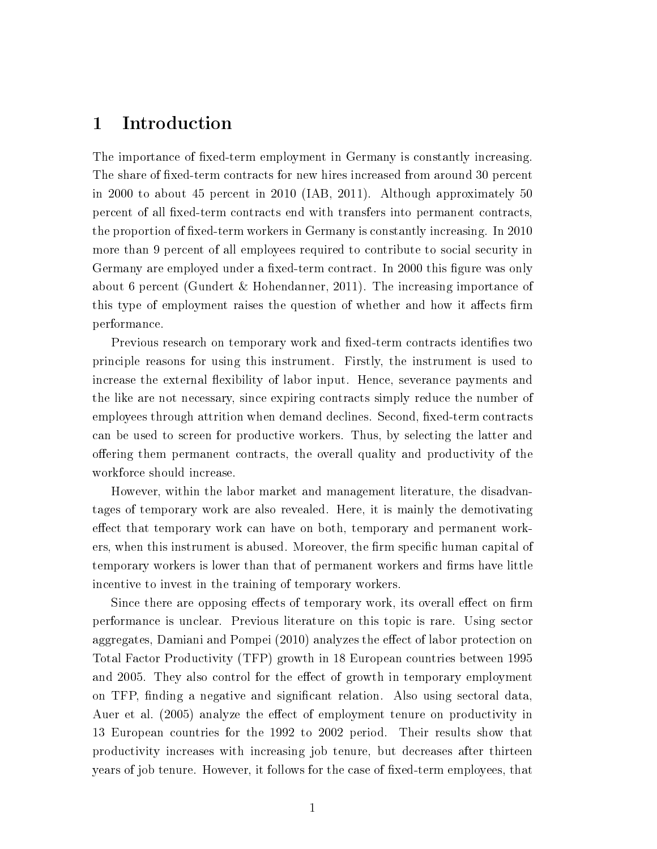# 1 Introduction

The importance of fixed-term employment in Germany is constantly increasing. The share of fixed-term contracts for new hires increased from around 30 percent in 2000 to about 45 percent in 2010 (IAB, 2011). Although approximately 50 percent of all fixed-term contracts end with transfers into permanent contracts, the proportion of fixed-term workers in Germany is constantly increasing. In 2010 more than 9 percent of all employees required to contribute to social security in Germany are employed under a fixed-term contract. In 2000 this figure was only about 6 percent (Gundert & Hohendanner, 2011). The increasing importance of this type of employment raises the question of whether and how it affects firm performance.

Previous research on temporary work and fixed-term contracts identifies two principle reasons for using this instrument. Firstly, the instrument is used to increase the external flexibility of labor input. Hence, severance payments and the like are not necessary, since expiring contracts simply reduce the number of employees through attrition when demand declines. Second, fixed-term contracts can be used to screen for productive workers. Thus, by selecting the latter and offering them permanent contracts, the overall quality and productivity of the workforce should increase.

However, within the labor market and management literature, the disadvantages of temporary work are also revealed. Here, it is mainly the demotivating effect that temporary work can have on both, temporary and permanent workers, when this instrument is abused. Moreover, the firm specific human capital of temporary workers is lower than that of permanent workers and firms have little incentive to invest in the training of temporary workers.

Since there are opposing effects of temporary work, its overall effect on firm performance is unclear. Previous literature on this topic is rare. Using sector aggregates, Damiani and Pompei (2010) analyzes the effect of labor protection on Total Factor Productivity (TFP) growth in 18 European countries between 1995 and 2005. They also control for the effect of growth in temporary employment on TFP, finding a negative and significant relation. Also using sectoral data, Auer et al. (2005) analyze the effect of employment tenure on productivity in 13 European countries for the 1992 to 2002 period. Their results show that productivity increases with increasing job tenure, but decreases after thirteen years of job tenure. However, it follows for the case of fixed-term employees, that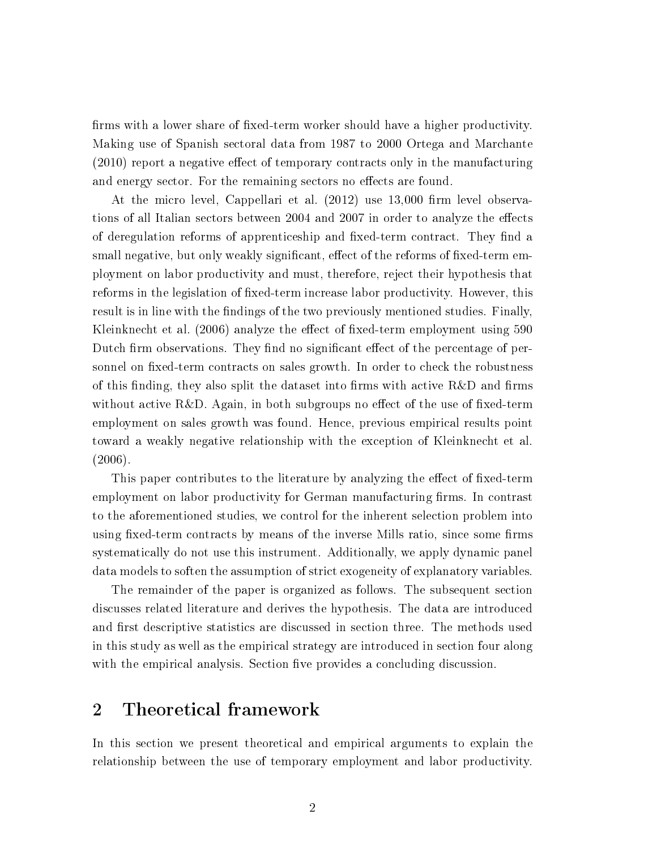firms with a lower share of fixed-term worker should have a higher productivity. Making use of Spanish sectoral data from 1987 to 2000 Ortega and Marchante  $(2010)$  report a negative effect of temporary contracts only in the manufacturing and energy sector. For the remaining sectors no effects are found.

At the micro level, Cappellari et al.  $(2012)$  use 13,000 firm level observations of all Italian sectors between 2004 and 2007 in order to analyze the effects of deregulation reforms of apprenticeship and fixed-term contract. They find a small negative, but only weakly significant, effect of the reforms of fixed-term employment on labor productivity and must, therefore, reject their hypothesis that reforms in the legislation of fixed-term increase labor productivity. However, this result is in line with the findings of the two previously mentioned studies. Finally, Kleinknecht et al.  $(2006)$  analyze the effect of fixed-term employment using 590 Dutch firm observations. They find no significant effect of the percentage of personnel on fixed-term contracts on sales growth. In order to check the robustness of this finding, they also split the dataset into firms with active  $R\&D$  and firms without active  $R\&D$ . Again, in both subgroups no effect of the use of fixed-term employment on sales growth was found. Hence, previous empirical results point toward a weakly negative relationship with the exception of Kleinknecht et al.  $(2006).$ 

This paper contributes to the literature by analyzing the effect of fixed-term employment on labor productivity for German manufacturing firms. In contrast to the aforementioned studies, we control for the inherent selection problem into using fixed-term contracts by means of the inverse Mills ratio, since some firms systematically do not use this instrument. Additionally, we apply dynamic panel data models to soften the assumption of strict exogeneity of explanatory variables.

The remainder of the paper is organized as follows. The subsequent section discusses related literature and derives the hypothesis. The data are introduced and first descriptive statistics are discussed in section three. The methods used in this study as well as the empirical strategy are introduced in section four along with the empirical analysis. Section five provides a concluding discussion.

# 2 Theoretical framework

In this section we present theoretical and empirical arguments to explain the relationship between the use of temporary employment and labor productivity.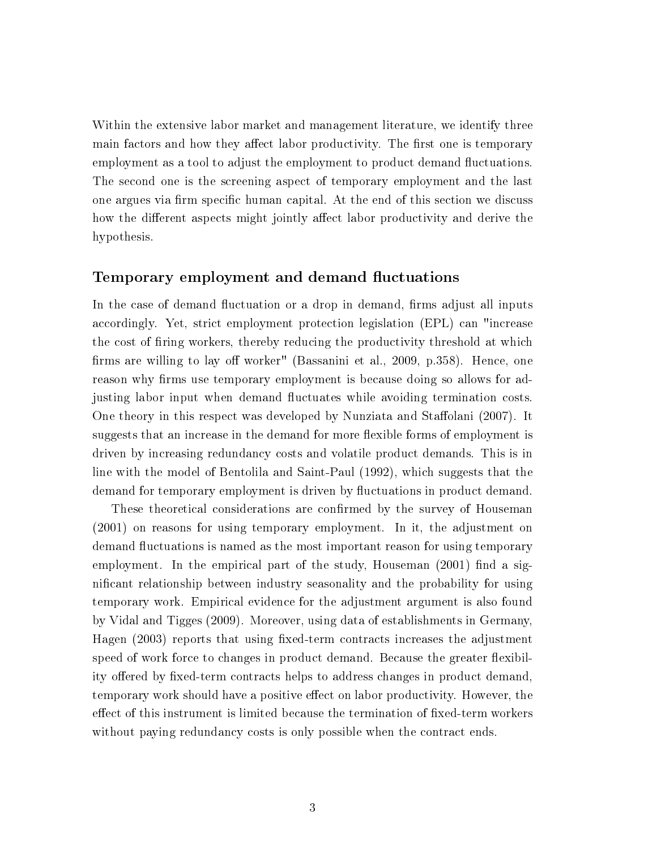Within the extensive labor market and management literature, we identify three main factors and how they affect labor productivity. The first one is temporary employment as a tool to adjust the employment to product demand fluctuations. The second one is the screening aspect of temporary employment and the last one argues via firm specific human capital. At the end of this section we discuss how the different aspects might jointly affect labor productivity and derive the hypothesis.

#### Temporary employment and demand fluctuations

In the case of demand fluctuation or a drop in demand, firms adjust all inputs accordingly. Yet, strict employment protection legislation (EPL) can "increase the cost of firing workers, thereby reducing the productivity threshold at which firms are willing to lay off worker" (Bassanini et al., 2009, p.358). Hence, one reason why firms use temporary employment is because doing so allows for adjusting labor input when demand fluctuates while avoiding termination costs. One theory in this respect was developed by Nunziata and Staffolani (2007). It suggests that an increase in the demand for more flexible forms of employment is driven by increasing redundancy costs and volatile product demands. This is in line with the model of Bentolila and Saint-Paul (1992), which suggests that the demand for temporary employment is driven by fluctuations in product demand.

These theoretical considerations are confirmed by the survey of Houseman (2001) on reasons for using temporary employment. In it, the adjustment on demand fluctuations is named as the most important reason for using temporary employment. In the empirical part of the study, Houseman  $(2001)$  find a signicant relationship between industry seasonality and the probability for using temporary work. Empirical evidence for the adjustment argument is also found by Vidal and Tigges (2009). Moreover, using data of establishments in Germany, Hagen (2003) reports that using fixed-term contracts increases the adjustment speed of work force to changes in product demand. Because the greater flexibility offered by fixed-term contracts helps to address changes in product demand, temporary work should have a positive effect on labor productivity. However, the effect of this instrument is limited because the termination of fixed-term workers without paying redundancy costs is only possible when the contract ends.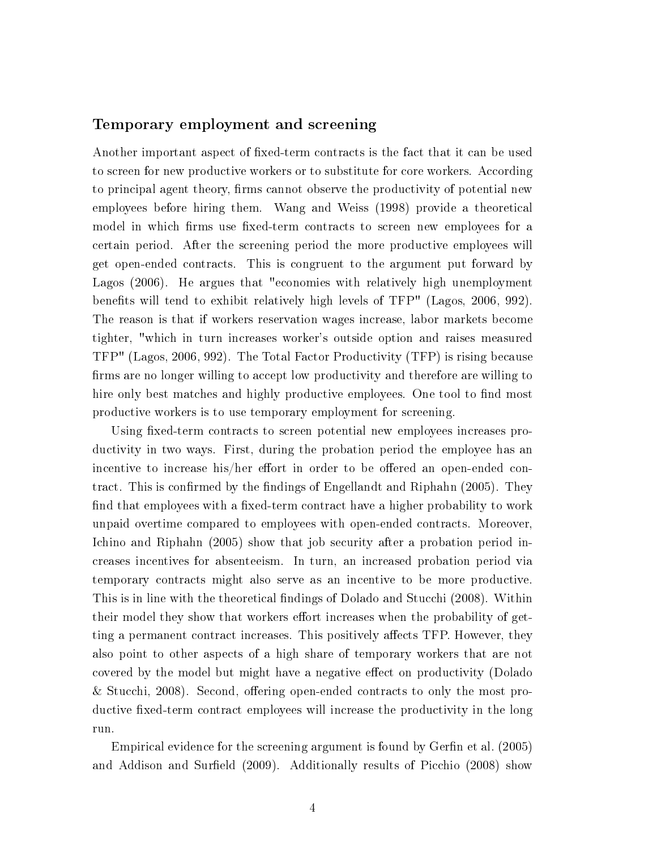### Temporary employment and screening

Another important aspect of fixed-term contracts is the fact that it can be used to screen for new productive workers or to substitute for core workers. According to principal agent theory, firms cannot observe the productivity of potential new employees before hiring them. Wang and Weiss (1998) provide a theoretical model in which firms use fixed-term contracts to screen new employees for a certain period. After the screening period the more productive employees will get open-ended contracts. This is congruent to the argument put forward by Lagos (2006). He argues that "economies with relatively high unemployment benefits will tend to exhibit relatively high levels of TFP" (Lagos, 2006, 992). The reason is that if workers reservation wages increase, labor markets become tighter, "which in turn increases worker's outside option and raises measured TFP" (Lagos, 2006, 992). The Total Factor Productivity (TFP) is rising because firms are no longer willing to accept low productivity and therefore are willing to hire only best matches and highly productive employees. One tool to find most productive workers is to use temporary employment for screening.

Using fixed-term contracts to screen potential new employees increases productivity in two ways. First, during the probation period the employee has an incentive to increase his/her effort in order to be offered an open-ended contract. This is confirmed by the findings of Engellandt and Riphahn (2005). They find that employees with a fixed-term contract have a higher probability to work unpaid overtime compared to employees with open-ended contracts. Moreover, Ichino and Riphahn (2005) show that job security after a probation period increases incentives for absenteeism. In turn, an increased probation period via temporary contracts might also serve as an incentive to be more productive. This is in line with the theoretical findings of Dolado and Stucchi (2008). Within their model they show that workers effort increases when the probability of getting a permanent contract increases. This positively affects TFP. However, they also point to other aspects of a high share of temporary workers that are not covered by the model but might have a negative effect on productivity (Dolado  $\&$  Stucchi, 2008). Second, offering open-ended contracts to only the most productive fixed-term contract employees will increase the productivity in the long run.

Empirical evidence for the screening argument is found by Gerfin et al. (2005) and Addison and Surfield (2009). Additionally results of Picchio (2008) show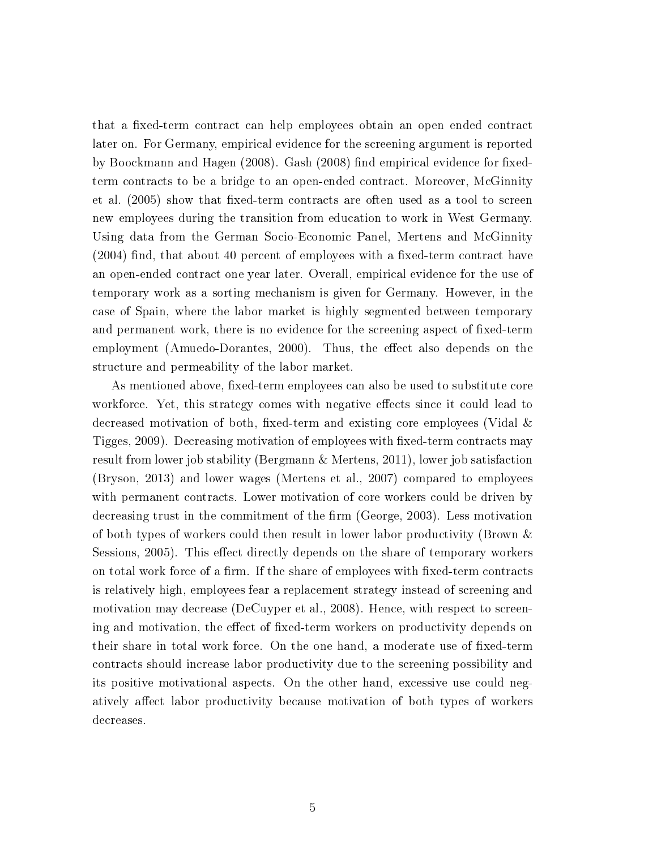that a fixed-term contract can help employees obtain an open ended contract later on. For Germany, empirical evidence for the screening argument is reported by Boockmann and Hagen (2008). Gash (2008) find empirical evidence for fixedterm contracts to be a bridge to an open-ended contract. Moreover, McGinnity et al. (2005) show that fixed-term contracts are often used as a tool to screen new employees during the transition from education to work in West Germany. Using data from the German Socio-Economic Panel, Mertens and McGinnity  $(2004)$  find, that about 40 percent of employees with a fixed-term contract have an open-ended contract one year later. Overall, empirical evidence for the use of temporary work as a sorting mechanism is given for Germany. However, in the case of Spain, where the labor market is highly segmented between temporary and permanent work, there is no evidence for the screening aspect of fixed-term employment (Amuedo-Dorantes, 2000). Thus, the effect also depends on the structure and permeability of the labor market.

As mentioned above, fixed-term employees can also be used to substitute core workforce. Yet, this strategy comes with negative effects since it could lead to decreased motivation of both, fixed-term and existing core employees (Vidal & Tigges, 2009). Decreasing motivation of employees with fixed-term contracts may result from lower job stability (Bergmann & Mertens, 2011), lower job satisfaction (Bryson, 2013) and lower wages (Mertens et al., 2007) compared to employees with permanent contracts. Lower motivation of core workers could be driven by decreasing trust in the commitment of the firm (George, 2003). Less motivation of both types of workers could then result in lower labor productivity (Brown & Sessions, 2005). This effect directly depends on the share of temporary workers on total work force of a firm. If the share of employees with fixed-term contracts is relatively high, employees fear a replacement strategy instead of screening and motivation may decrease (DeCuyper et al., 2008). Hence, with respect to screening and motivation, the effect of fixed-term workers on productivity depends on their share in total work force. On the one hand, a moderate use of fixed-term contracts should increase labor productivity due to the screening possibility and its positive motivational aspects. On the other hand, excessive use could negatively affect labor productivity because motivation of both types of workers decreases.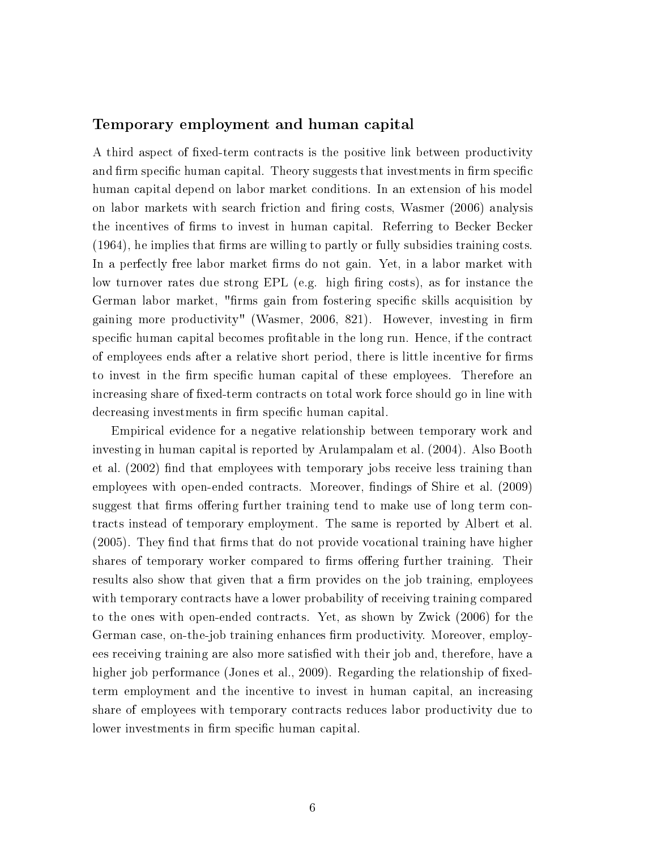### Temporary employment and human capital

A third aspect of fixed-term contracts is the positive link between productivity and firm specific human capital. Theory suggests that investments in firm specific human capital depend on labor market conditions. In an extension of his model on labor markets with search friction and firing costs, Wasmer (2006) analysis the incentives of firms to invest in human capital. Referring to Becker Becker  $(1964)$ , he implies that firms are willing to partly or fully subsidies training costs. In a perfectly free labor market firms do not gain. Yet, in a labor market with low turnover rates due strong EPL (e.g. high firing costs), as for instance the German labor market, "firms gain from fostering specific skills acquisition by gaining more productivity" (Wasmer, 2006, 821). However, investing in firm specific human capital becomes profitable in the long run. Hence, if the contract of employees ends after a relative short period, there is little incentive for firms to invest in the firm specific human capital of these employees. Therefore an increasing share of fixed-term contracts on total work force should go in line with decreasing investments in firm specific human capital.

Empirical evidence for a negative relationship between temporary work and investing in human capital is reported by Arulampalam et al. (2004). Also Booth et al.  $(2002)$  find that employees with temporary jobs receive less training than employees with open-ended contracts. Moreover, findings of Shire et al. (2009) suggest that firms offering further training tend to make use of long term contracts instead of temporary employment. The same is reported by Albert et al.  $(2005)$ . They find that firms that do not provide vocational training have higher shares of temporary worker compared to firms offering further training. Their results also show that given that a firm provides on the job training, employees with temporary contracts have a lower probability of receiving training compared to the ones with open-ended contracts. Yet, as shown by Zwick (2006) for the German case, on-the-job training enhances firm productivity. Moreover, employees receiving training are also more satisfied with their job and, therefore, have a higher job performance (Jones et al., 2009). Regarding the relationship of fixedterm employment and the incentive to invest in human capital, an increasing share of employees with temporary contracts reduces labor productivity due to lower investments in firm specific human capital.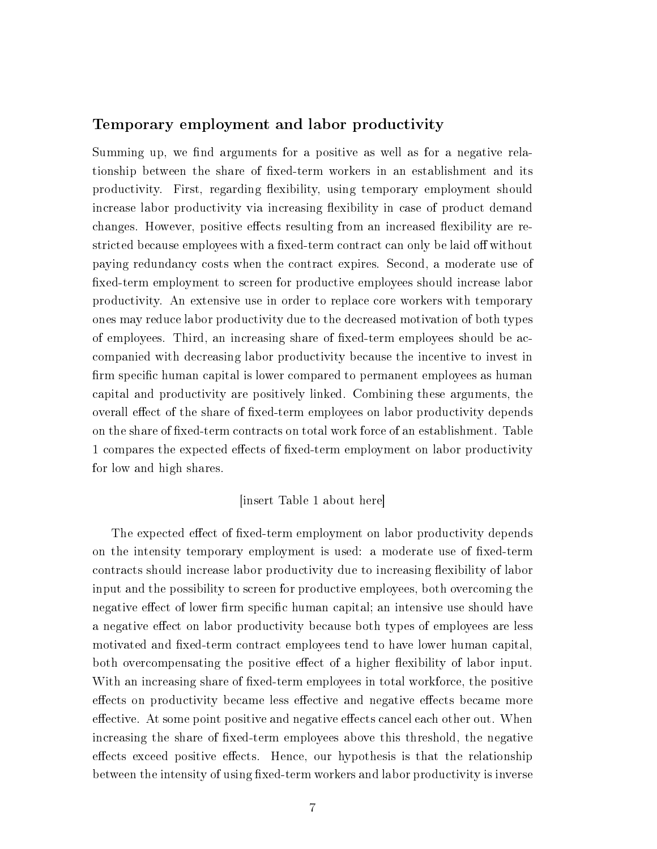### Temporary employment and labor productivity

Summing up, we find arguments for a positive as well as for a negative relationship between the share of fixed-term workers in an establishment and its productivity. First, regarding flexibility, using temporary employment should increase labor productivity via increasing flexibility in case of product demand changes. However, positive effects resulting from an increased flexibility are restricted because employees with a fixed-term contract can only be laid off without paying redundancy costs when the contract expires. Second, a moderate use of fixed-term employment to screen for productive employees should increase labor productivity. An extensive use in order to replace core workers with temporary ones may reduce labor productivity due to the decreased motivation of both types of employees. Third, an increasing share of fixed-term employees should be accompanied with decreasing labor productivity because the incentive to invest in firm specific human capital is lower compared to permanent employees as human capital and productivity are positively linked. Combining these arguments, the overall effect of the share of fixed-term employees on labor productivity depends on the share of fixed-term contracts on total work force of an establishment. Table 1 compares the expected effects of fixed-term employment on labor productivity for low and high shares.

#### [insert Table 1 about here]

The expected effect of fixed-term employment on labor productivity depends on the intensity temporary employment is used: a moderate use of fixed-term contracts should increase labor productivity due to increasing flexibility of labor input and the possibility to screen for productive employees, both overcoming the negative effect of lower firm specific human capital; an intensive use should have a negative effect on labor productivity because both types of employees are less motivated and fixed-term contract employees tend to have lower human capital, both overcompensating the positive effect of a higher flexibility of labor input. With an increasing share of fixed-term employees in total workforce, the positive effects on productivity became less effective and negative effects became more effective. At some point positive and negative effects cancel each other out. When increasing the share of fixed-term employees above this threshold, the negative effects exceed positive effects. Hence, our hypothesis is that the relationship between the intensity of using fixed-term workers and labor productivity is inverse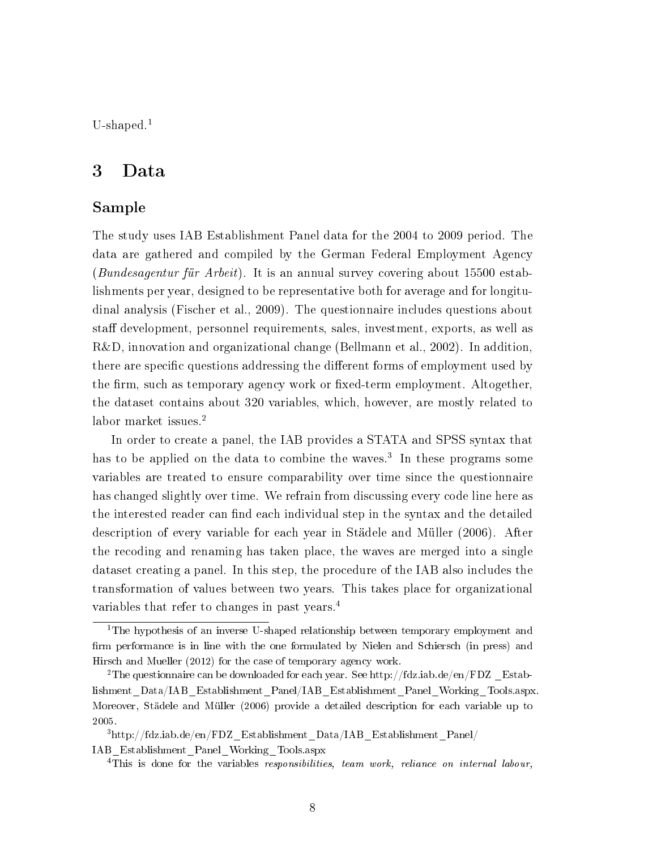$U$ -shaped.<sup>1</sup>

# 3 Data

# Sample

The study uses IAB Establishment Panel data for the 2004 to 2009 period. The data are gathered and compiled by the German Federal Employment Agency (Bundesagentur für Arbeit). It is an annual survey covering about 15500 establishments per year, designed to be representative both for average and for longitudinal analysis (Fischer et al., 2009). The questionnaire includes questions about staff development, personnel requirements, sales, investment, exports, as well as R&D, innovation and organizational change (Bellmann et al., 2002). In addition, there are specific questions addressing the different forms of employment used by the firm, such as temporary agency work or fixed-term employment. Altogether, the dataset contains about 320 variables, which, however, are mostly related to labor market issues.<sup>2</sup>

In order to create a panel, the IAB provides a STATA and SPSS syntax that has to be applied on the data to combine the waves.<sup>3</sup> In these programs some variables are treated to ensure comparability over time since the questionnaire has changed slightly over time. We refrain from discussing every code line here as the interested reader can find each individual step in the syntax and the detailed description of every variable for each year in Städele and Müller (2006). After the recoding and renaming has taken place, the waves are merged into a single dataset creating a panel. In this step, the procedure of the IAB also includes the transformation of values between two years. This takes place for organizational variables that refer to changes in past years.<sup>4</sup>

<sup>1</sup>The hypothesis of an inverse U-shaped relationship between temporary employment and firm performance is in line with the one formulated by Nielen and Schiersch (in press) and Hirsch and Mueller (2012) for the case of temporary agency work.

<sup>&</sup>lt;sup>2</sup>The questionnaire can be downloaded for each year. See http://fdz.iab.de/en/FDZ \_Establishment\_Data/IAB\_Establishment\_Panel/IAB\_Establishment\_Panel\_Working\_Tools.aspx. Moreover, Städele and Müller (2006) provide a detailed description for each variable up to 2005.

 $3$ http://fdz.iab.de/en/FDZ\_Establishment\_Data/IAB\_Establishment\_Panel/ IAB\_Establishment\_Panel\_Working\_Tools.aspx

<sup>&</sup>lt;sup>4</sup>This is done for the variables *responsibilities, team work, reliance on internal labour.*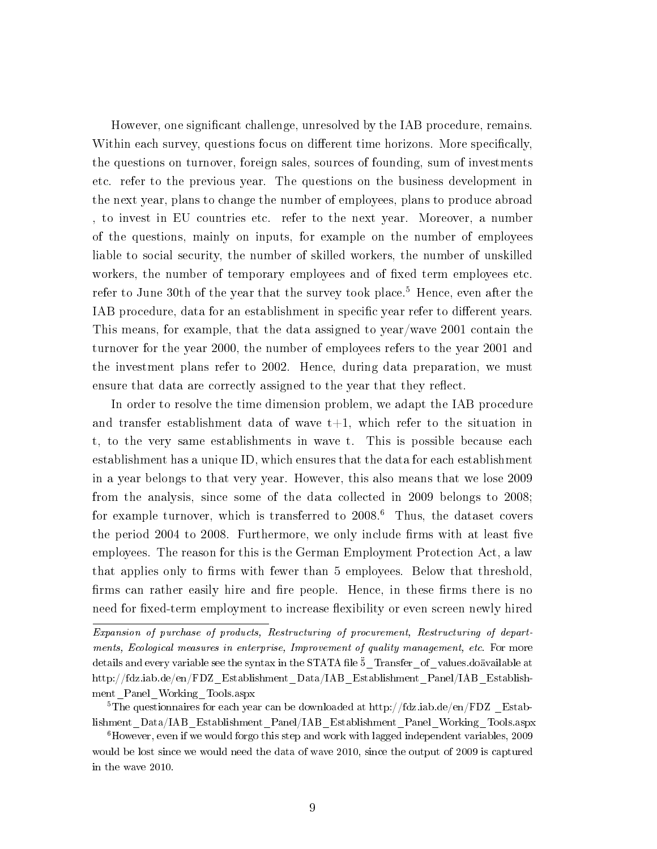However, one signicant challenge, unresolved by the IAB procedure, remains. Within each survey, questions focus on different time horizons. More specifically, the questions on turnover, foreign sales, sources of founding, sum of investments etc. refer to the previous year. The questions on the business development in the next year, plans to change the number of employees, plans to produce abroad , to invest in EU countries etc. refer to the next year. Moreover, a number of the questions, mainly on inputs, for example on the number of employees liable to social security, the number of skilled workers, the number of unskilled workers, the number of temporary employees and of fixed term employees etc. refer to June 30th of the year that the survey took place.<sup>5</sup> Hence, even after the IAB procedure, data for an establishment in specific year refer to different years. This means, for example, that the data assigned to year/wave 2001 contain the turnover for the year 2000, the number of employees refers to the year 2001 and the investment plans refer to 2002. Hence, during data preparation, we must ensure that data are correctly assigned to the year that they reflect.

In order to resolve the time dimension problem, we adapt the IAB procedure and transfer establishment data of wave  $t+1$ , which refer to the situation in t, to the very same establishments in wave t. This is possible because each establishment has a unique ID, which ensures that the data for each establishment in a year belongs to that very year. However, this also means that we lose 2009 from the analysis, since some of the data collected in 2009 belongs to 2008; for example turnover, which is transferred to  $2008<sup>6</sup>$ . Thus, the dataset covers the period 2004 to 2008. Furthermore, we only include firms with at least five employees. The reason for this is the German Employment Protection Act, a law that applies only to firms with fewer than 5 employees. Below that threshold, firms can rather easily hire and fire people. Hence, in these firms there is no need for fixed-term employment to increase flexibility or even screen newly hired

Expansion of purchase of products, Restructuring of procurement, Restructuring of departments, Ecological measures in enterprise, Improvement of quality management, etc. For more details and every variable see the syntax in the STATA file  $\ddot{5}$  Transfer of values.doävailable at http://fdz.iab.de/en/FDZ\_Establishment\_Data/IAB\_Establishment\_Panel/IAB\_Establishment\_Panel\_Working\_Tools.aspx

<sup>&</sup>lt;sup>5</sup>The questionnaires for each year can be downloaded at http://fdz.iab.de/en/FDZ Establishment\_Data/IAB\_Establishment\_Panel/IAB\_Establishment\_Panel\_Working\_Tools.aspx

 $6$ However, even if we would forgo this step and work with lagged independent variables, 2009 would be lost since we would need the data of wave 2010, since the output of 2009 is captured in the wave 2010.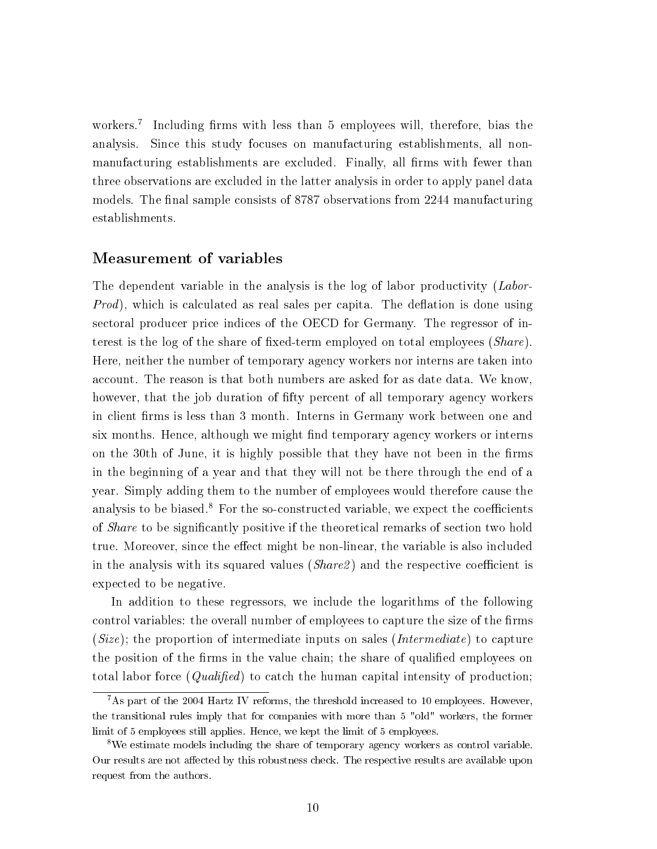workers.<sup>7</sup> Including firms with less than 5 employees will, therefore, bias the analysis. Since this study focuses on manufacturing establishments, all nonmanufacturing establishments are excluded. Finally, all firms with fewer than three observations are excluded in the latter analysis in order to apply panel data models. The final sample consists of 8787 observations from 2244 manufacturing establishments.

### Measurement of variables

The dependent variable in the analysis is the log of labor productivity (Labor- $Prod$ ), which is calculated as real sales per capita. The deflation is done using sectoral producer price indices of the OECD for Germany. The regressor of interest is the log of the share of fixed-term employed on total employees  $(Share)$ . Here, neither the number of temporary agency workers nor interns are taken into account. The reason is that both numbers are asked for as date data. We know, however, that the job duration of fifty percent of all temporary agency workers in client firms is less than 3 month. Interns in Germany work between one and six months. Hence, although we might find temporary agency workers or interns on the 30th of June, it is highly possible that they have not been in the firms in the beginning of a year and that they will not be there through the end of a year. Simply adding them to the number of employees would therefore cause the analysis to be biased.<sup>8</sup> For the so-constructed variable, we expect the coefficients of *Share* to be significantly positive if the theoretical remarks of section two hold true. Moreover, since the effect might be non-linear, the variable is also included in the analysis with its squared values  $(Share2)$  and the respective coefficient is expected to be negative.

In addition to these regressors, we include the logarithms of the following control variables: the overall number of employees to capture the size of the firms  $(Size)$ ; the proportion of intermediate inputs on sales (*Intermediate*) to capture the position of the firms in the value chain; the share of qualified employees on total labor force  $(Qualified)$  to catch the human capital intensity of production;

<sup>&</sup>lt;sup>7</sup>As part of the 2004 Hartz IV reforms, the threshold increased to 10 employees. However, the transitional rules imply that for companies with more than 5 "old" workers, the former limit of 5 employees still applies. Hence, we kept the limit of 5 employees.

<sup>8</sup>We estimate models including the share of temporary agency workers as control variable. Our results are not affected by this robustness check. The respective results are available upon request from the authors.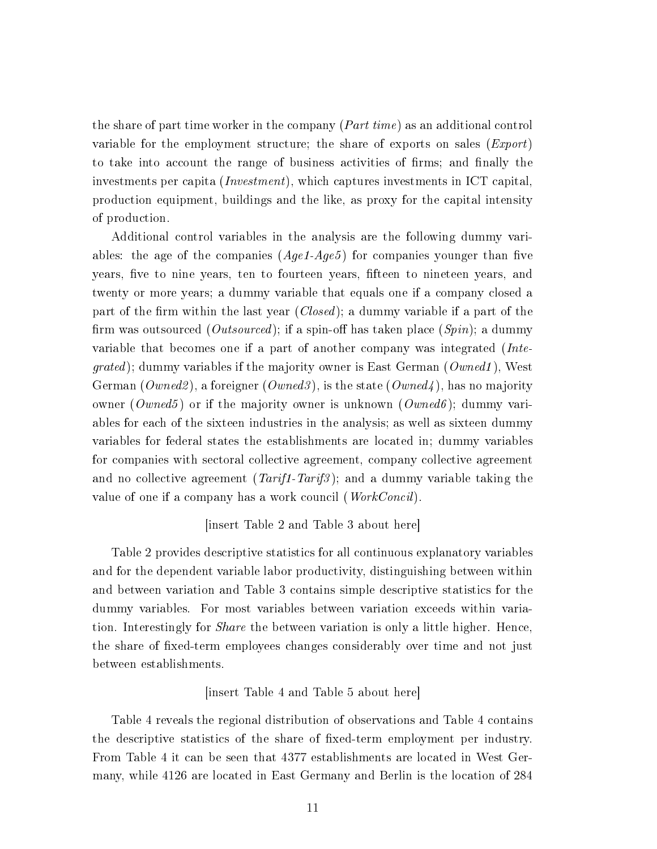the share of part time worker in the company  $(Part time)$  as an additional control variable for the employment structure; the share of exports on sales (Export) to take into account the range of business activities of firms; and finally the investments per capita (Investment), which captures investments in ICT capital, production equipment, buildings and the like, as proxy for the capital intensity of production.

Additional control variables in the analysis are the following dummy variables: the age of the companies  $(Agel-Age5)$  for companies younger than five years, five to nine years, ten to fourteen years, fifteen to nineteen years, and twenty or more years; a dummy variable that equals one if a company closed a part of the firm within the last year  $(Closed)$ ; a dummy variable if a part of the firm was outsourced (*Outsourced*); if a spin-off has taken place  $(Spin)$ ; a dummy variable that becomes one if a part of another company was integrated (Inte*grated*); dummy variables if the majority owner is East German (*Owned1*), West German ( $Owned2$ ), a foreigner ( $Owned3$ ), is the state ( $Owned4$ ), has no majority owner ( $Owned5$ ) or if the majority owner is unknown ( $Owned6$ ); dummy variables for each of the sixteen industries in the analysis; as well as sixteen dummy variables for federal states the establishments are located in; dummy variables for companies with sectoral collective agreement, company collective agreement and no collective agreement  $(Tarif-Tarif3)$ ; and a dummy variable taking the value of one if a company has a work council (*WorkConcil*).

#### [insert Table 2 and Table 3 about here]

Table 2 provides descriptive statistics for all continuous explanatory variables and for the dependent variable labor productivity, distinguishing between within and between variation and Table 3 contains simple descriptive statistics for the dummy variables. For most variables between variation exceeds within variation. Interestingly for Share the between variation is only a little higher. Hence, the share of fixed-term employees changes considerably over time and not just between establishments.

#### [insert Table 4 and Table 5 about here]

Table 4 reveals the regional distribution of observations and Table 4 contains the descriptive statistics of the share of fixed-term employment per industry. From Table 4 it can be seen that 4377 establishments are located in West Germany, while 4126 are located in East Germany and Berlin is the location of 284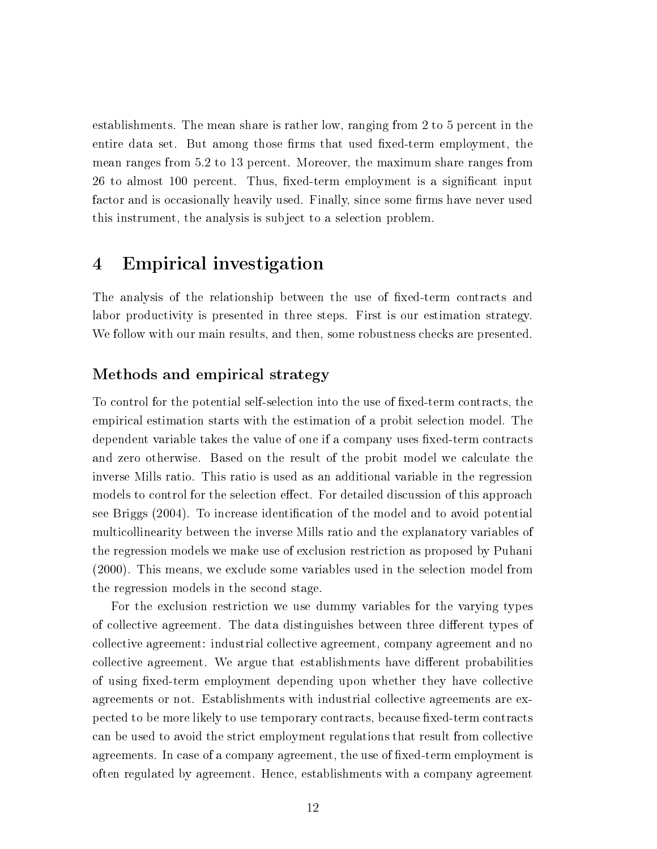establishments. The mean share is rather low, ranging from 2 to 5 percent in the entire data set. But among those firms that used fixed-term employment, the mean ranges from 5.2 to 13 percent. Moreover, the maximum share ranges from 26 to almost 100 percent. Thus, fixed-term employment is a significant input factor and is occasionally heavily used. Finally, since some firms have never used this instrument, the analysis is subject to a selection problem.

# 4 Empirical investigation

The analysis of the relationship between the use of fixed-term contracts and labor productivity is presented in three steps. First is our estimation strategy. We follow with our main results, and then, some robustness checks are presented.

### Methods and empirical strategy

To control for the potential self-selection into the use of fixed-term contracts, the empirical estimation starts with the estimation of a probit selection model. The dependent variable takes the value of one if a company uses fixed-term contracts and zero otherwise. Based on the result of the probit model we calculate the inverse Mills ratio. This ratio is used as an additional variable in the regression models to control for the selection effect. For detailed discussion of this approach see Briggs (2004). To increase identification of the model and to avoid potential multicollinearity between the inverse Mills ratio and the explanatory variables of the regression models we make use of exclusion restriction as proposed by Puhani (2000). This means, we exclude some variables used in the selection model from the regression models in the second stage.

For the exclusion restriction we use dummy variables for the varying types of collective agreement. The data distinguishes between three different types of collective agreement: industrial collective agreement, company agreement and no collective agreement. We argue that establishments have different probabilities of using fixed-term employment depending upon whether they have collective agreements or not. Establishments with industrial collective agreements are expected to be more likely to use temporary contracts, because fixed-term contracts can be used to avoid the strict employment regulations that result from collective agreements. In case of a company agreement, the use of fixed-term employment is often regulated by agreement. Hence, establishments with a company agreement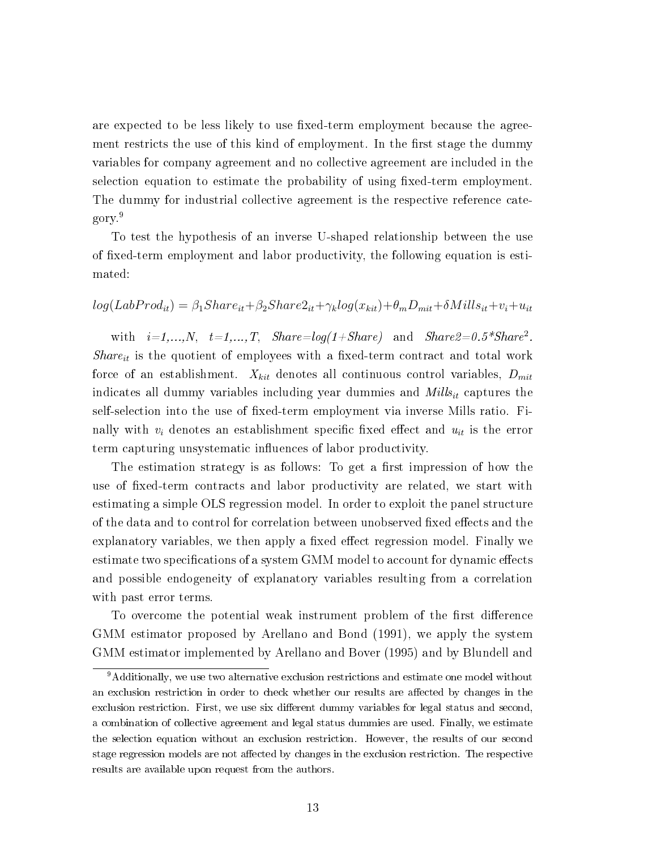are expected to be less likely to use fixed-term employment because the agreement restricts the use of this kind of employment. In the first stage the dummy variables for company agreement and no collective agreement are included in the selection equation to estimate the probability of using fixed-term employment. The dummy for industrial collective agreement is the respective reference category.<sup>9</sup>

To test the hypothesis of an inverse U-shaped relationship between the use of fixed-term employment and labor productivity, the following equation is estimated:

### $log(LabProd_{it}) = \beta_1Share_{it} + \beta_2Share_{it} + \gamma_klog(x_{kit}) + \theta_mD_{mit} + \delta Mills_{it} + v_i + u_{it}$

with  $i=1,\ldots,N$ ,  $t=1,\ldots,T$ ,  $Share=log(1+Share)$  and  $Share2=0.5*Share^2$ .  $Share_{it}$  is the quotient of employees with a fixed-term contract and total work force of an establishment.  $X_{kit}$  denotes all continuous control variables,  $D_{mit}$ indicates all dummy variables including year dummies and  $Mills_{it}$  captures the self-selection into the use of fixed-term employment via inverse Mills ratio. Finally with  $v_i$  denotes an establishment specific fixed effect and  $u_{it}$  is the error term capturing unsystematic influences of labor productivity.

The estimation strategy is as follows: To get a first impression of how the use of fixed-term contracts and labor productivity are related, we start with estimating a simple OLS regression model. In order to exploit the panel structure of the data and to control for correlation between unobserved fixed effects and the explanatory variables, we then apply a fixed effect regression model. Finally we estimate two specifications of a system GMM model to account for dynamic effects and possible endogeneity of explanatory variables resulting from a correlation with past error terms.

To overcome the potential weak instrument problem of the first difference GMM estimator proposed by Arellano and Bond (1991), we apply the system GMM estimator implemented by Arellano and Bover (1995) and by Blundell and

<sup>9</sup>Additionally, we use two alternative exclusion restrictions and estimate one model without an exclusion restriction in order to check whether our results are affected by changes in the exclusion restriction. First, we use six different dummy variables for legal status and second, a combination of collective agreement and legal status dummies are used. Finally, we estimate the selection equation without an exclusion restriction. However, the results of our second stage regression models are not affected by changes in the exclusion restriction. The respective results are available upon request from the authors.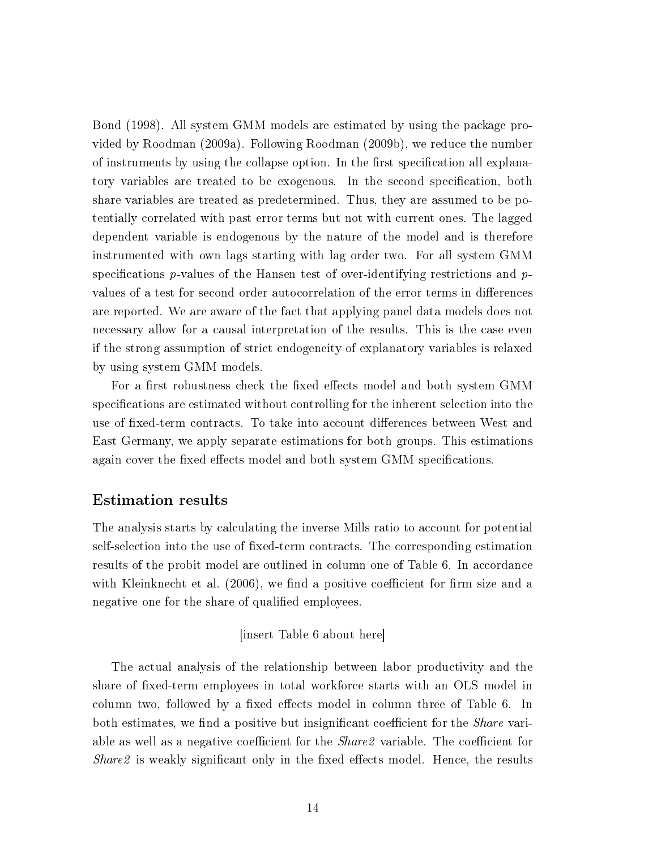Bond (1998). All system GMM models are estimated by using the package provided by Roodman (2009a). Following Roodman (2009b), we reduce the number of instruments by using the collapse option. In the first specification all explanatory variables are treated to be exogenous. In the second specification, both share variables are treated as predetermined. Thus, they are assumed to be potentially correlated with past error terms but not with current ones. The lagged dependent variable is endogenous by the nature of the model and is therefore instrumented with own lags starting with lag order two. For all system GMM specifications p-values of the Hansen test of over-identifying restrictions and  $p$ values of a test for second order autocorrelation of the error terms in differences are reported. We are aware of the fact that applying panel data models does not necessary allow for a causal interpretation of the results. This is the case even if the strong assumption of strict endogeneity of explanatory variables is relaxed by using system GMM models.

For a first robustness check the fixed effects model and both system GMM specifications are estimated without controlling for the inherent selection into the use of fixed-term contracts. To take into account differences between West and East Germany, we apply separate estimations for both groups. This estimations again cover the fixed effects model and both system GMM specifications.

## Estimation results

The analysis starts by calculating the inverse Mills ratio to account for potential self-selection into the use of fixed-term contracts. The corresponding estimation results of the probit model are outlined in column one of Table 6. In accordance with Kleinknecht et al.  $(2006)$ , we find a positive coefficient for firm size and a negative one for the share of qualified employees.

#### [insert Table 6 about here]

The actual analysis of the relationship between labor productivity and the share of fixed-term employees in total workforce starts with an OLS model in column two, followed by a fixed effects model in column three of Table 6. In both estimates, we find a positive but insignificant coefficient for the *Share* variable as well as a negative coefficient for the *Share2* variable. The coefficient for Share2 is weakly significant only in the fixed effects model. Hence, the results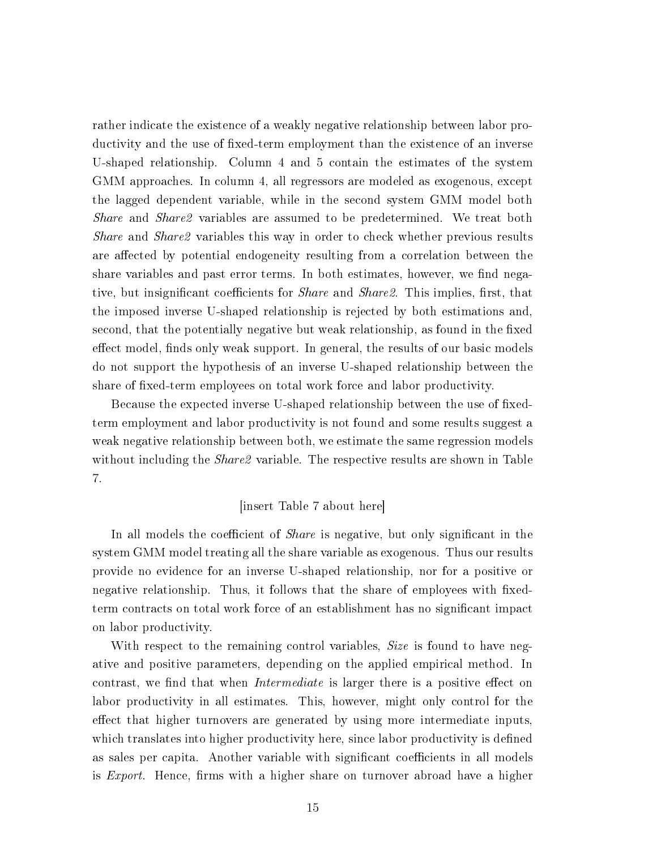rather indicate the existence of a weakly negative relationship between labor productivity and the use of fixed-term employment than the existence of an inverse U-shaped relationship. Column 4 and 5 contain the estimates of the system GMM approaches. In column 4, all regressors are modeled as exogenous, except the lagged dependent variable, while in the second system GMM model both Share and Share2 variables are assumed to be predetermined. We treat both Share and Share2 variables this way in order to check whether previous results are affected by potential endogeneity resulting from a correlation between the share variables and past error terms. In both estimates, however, we find negative, but insignificant coefficients for *Share* and *Share2*. This implies, first, that the imposed inverse U-shaped relationship is rejected by both estimations and, second, that the potentially negative but weak relationship, as found in the fixed effect model, finds only weak support. In general, the results of our basic models do not support the hypothesis of an inverse U-shaped relationship between the share of fixed-term employees on total work force and labor productivity.

Because the expected inverse U-shaped relationship between the use of fixedterm employment and labor productivity is not found and some results suggest a weak negative relationship between both, we estimate the same regression models without including the *Share2* variable. The respective results are shown in Table 7.

#### [insert Table 7 about here]

In all models the coefficient of *Share* is negative, but only significant in the system GMM model treating all the share variable as exogenous. Thus our results provide no evidence for an inverse U-shaped relationship, nor for a positive or negative relationship. Thus, it follows that the share of employees with fixedterm contracts on total work force of an establishment has no signicant impact on labor productivity.

With respect to the remaining control variables,  $Size$  is found to have negative and positive parameters, depending on the applied empirical method. In contrast, we find that when *Intermediate* is larger there is a positive effect on labor productivity in all estimates. This, however, might only control for the effect that higher turnovers are generated by using more intermediate inputs, which translates into higher productivity here, since labor productivity is defined as sales per capita. Another variable with significant coefficients in all models is *Export*. Hence, firms with a higher share on turnover abroad have a higher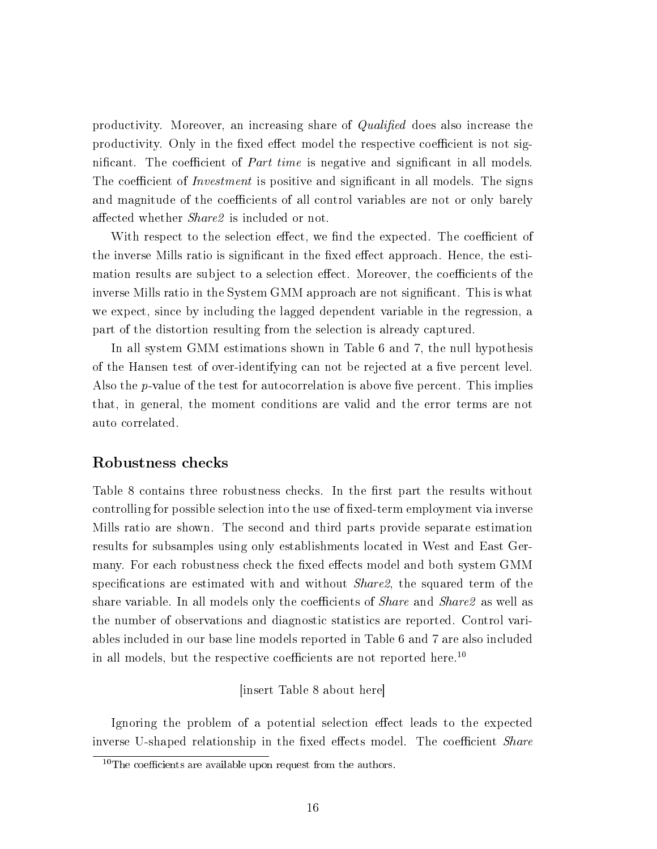productivity. Moreover, an increasing share of *Qualified* does also increase the productivity. Only in the fixed effect model the respective coefficient is not significant. The coefficient of *Part time* is negative and significant in all models. The coefficient of *Investment* is positive and significant in all models. The signs and magnitude of the coefficients of all control variables are not or only barely affected whether *Share2* is included or not.

With respect to the selection effect, we find the expected. The coefficient of the inverse Mills ratio is significant in the fixed effect approach. Hence, the estimation results are subject to a selection effect. Moreover, the coefficients of the inverse Mills ratio in the System GMM approach are not signicant. This is what we expect, since by including the lagged dependent variable in the regression, a part of the distortion resulting from the selection is already captured.

In all system GMM estimations shown in Table 6 and 7, the null hypothesis of the Hansen test of over-identifying can not be rejected at a five percent level. Also the  $p$ -value of the test for autocorrelation is above five percent. This implies that, in general, the moment conditions are valid and the error terms are not auto correlated.

#### Robustness checks

Table 8 contains three robustness checks. In the first part the results without controlling for possible selection into the use of fixed-term employment via inverse Mills ratio are shown. The second and third parts provide separate estimation results for subsamples using only establishments located in West and East Germany. For each robustness check the fixed effects model and both system GMM specifications are estimated with and without  $Share2$ , the squared term of the share variable. In all models only the coefficients of *Share* and *Share* 2 as well as the number of observations and diagnostic statistics are reported. Control variables included in our base line models reported in Table 6 and 7 are also included in all models, but the respective coefficients are not reported here.<sup>10</sup>

#### [insert Table 8 about here]

Ignoring the problem of a potential selection effect leads to the expected inverse U-shaped relationship in the fixed effects model. The coefficient *Share* 

 $10$ The coefficients are available upon request from the authors.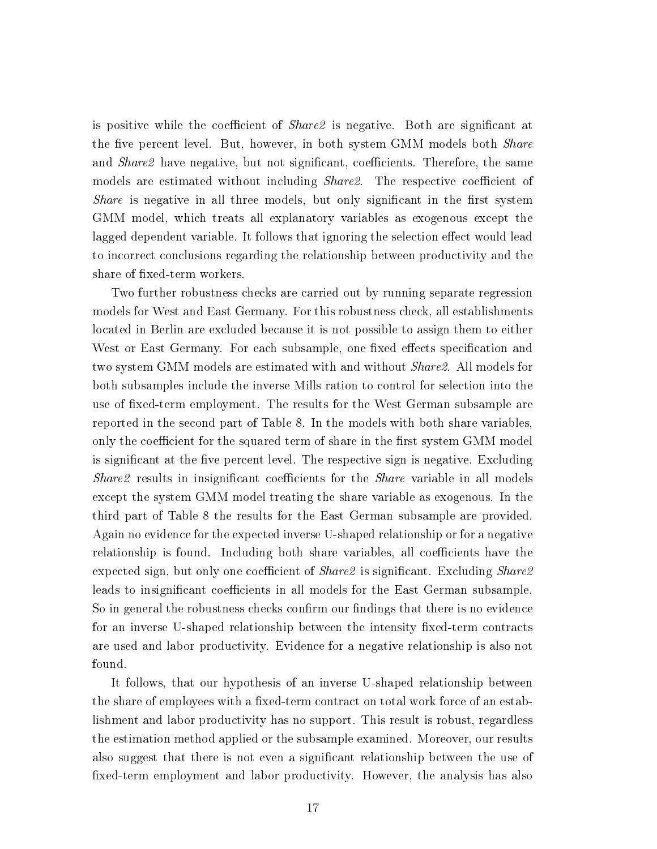is positive while the coefficient of *Share2* is negative. Both are significant at the five percent level. But, however, in both system GMM models both *Share* and *Share2* have negative, but not significant, coefficients. Therefore, the same models are estimated without including *Share2*. The respective coefficient of Share is negative in all three models, but only significant in the first system GMM model, which treats all explanatory variables as exogenous except the lagged dependent variable. It follows that ignoring the selection effect would lead to incorrect conclusions regarding the relationship between productivity and the share of fixed-term workers.

Two further robustness checks are carried out by running separate regression models for West and East Germany. For this robustness check, all establishments located in Berlin are excluded because it is not possible to assign them to either West or East Germany. For each subsample, one fixed effects specification and two system GMM models are estimated with and without Share2. All models for both subsamples include the inverse Mills ration to control for selection into the use of fixed-term employment. The results for the West German subsample are reported in the second part of Table 8. In the models with both share variables, only the coefficient for the squared term of share in the first system GMM model is significant at the five percent level. The respective sign is negative. Excluding Share2 results in insignificant coefficients for the *Share* variable in all models except the system GMM model treating the share variable as exogenous. In the third part of Table 8 the results for the East German subsample are provided. Again no evidence for the expected inverse U-shaped relationship or for a negative relationship is found. Including both share variables, all coefficients have the expected sign, but only one coefficient of *Share2* is significant. Excluding *Share2* leads to insignificant coefficients in all models for the East German subsample. So in general the robustness checks confirm our findings that there is no evidence for an inverse U-shaped relationship between the intensity fixed-term contracts are used and labor productivity. Evidence for a negative relationship is also not found.

It follows, that our hypothesis of an inverse U-shaped relationship between the share of employees with a fixed-term contract on total work force of an establishment and labor productivity has no support. This result is robust, regardless the estimation method applied or the subsample examined. Moreover, our results also suggest that there is not even a signicant relationship between the use of fixed-term employment and labor productivity. However, the analysis has also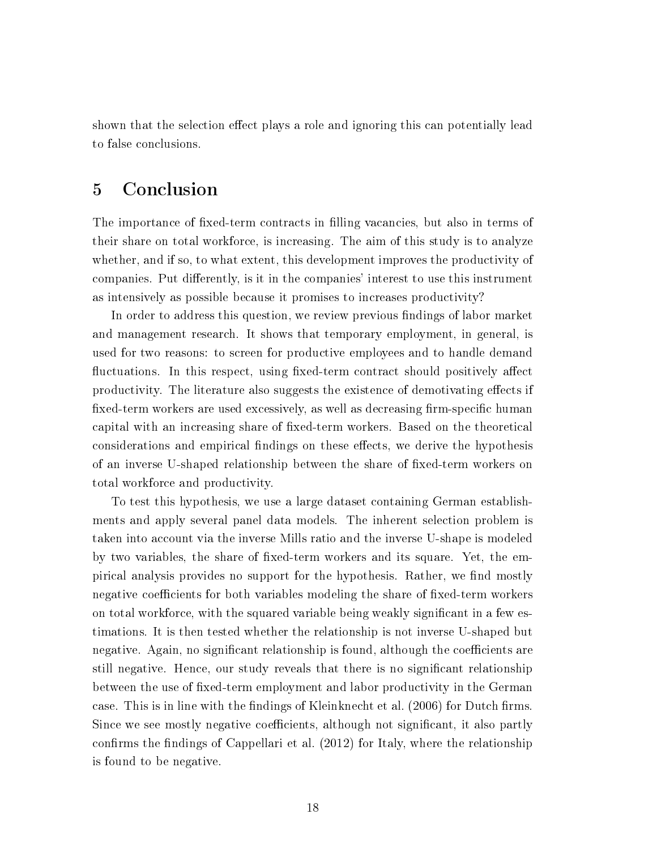shown that the selection effect plays a role and ignoring this can potentially lead to false conclusions.

# 5 Conclusion

The importance of fixed-term contracts in filling vacancies, but also in terms of their share on total workforce, is increasing. The aim of this study is to analyze whether, and if so, to what extent, this development improves the productivity of companies. Put differently, is it in the companies' interest to use this instrument as intensively as possible because it promises to increases productivity?

In order to address this question, we review previous findings of labor market and management research. It shows that temporary employment, in general, is used for two reasons: to screen for productive employees and to handle demand fluctuations. In this respect, using fixed-term contract should positively affect productivity. The literature also suggests the existence of demotivating effects if fixed-term workers are used excessively, as well as decreasing firm-specific human capital with an increasing share of fixed-term workers. Based on the theoretical considerations and empirical findings on these effects, we derive the hypothesis of an inverse U-shaped relationship between the share of fixed-term workers on total workforce and productivity.

To test this hypothesis, we use a large dataset containing German establishments and apply several panel data models. The inherent selection problem is taken into account via the inverse Mills ratio and the inverse U-shape is modeled by two variables, the share of fixed-term workers and its square. Yet, the empirical analysis provides no support for the hypothesis. Rather, we find mostly negative coefficients for both variables modeling the share of fixed-term workers on total workforce, with the squared variable being weakly significant in a few estimations. It is then tested whether the relationship is not inverse U-shaped but negative. Again, no significant relationship is found, although the coefficients are still negative. Hence, our study reveals that there is no signicant relationship between the use of fixed-term employment and labor productivity in the German case. This is in line with the findings of Kleinknecht et al. (2006) for Dutch firms. Since we see mostly negative coefficients, although not significant, it also partly confirms the findings of Cappellari et al.  $(2012)$  for Italy, where the relationship is found to be negative.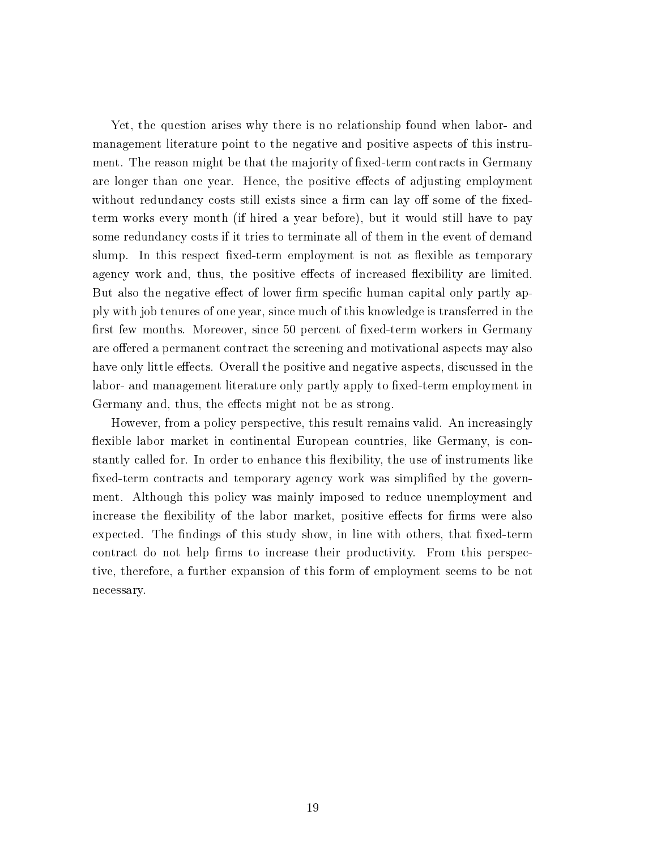Yet, the question arises why there is no relationship found when labor- and management literature point to the negative and positive aspects of this instrument. The reason might be that the majority of fixed-term contracts in Germany are longer than one year. Hence, the positive effects of adjusting employment without redundancy costs still exists since a firm can lay off some of the fixedterm works every month (if hired a year before), but it would still have to pay some redundancy costs if it tries to terminate all of them in the event of demand slump. In this respect fixed-term employment is not as flexible as temporary agency work and, thus, the positive effects of increased flexibility are limited. But also the negative effect of lower firm specific human capital only partly apply with job tenures of one year, since much of this knowledge is transferred in the first few months. Moreover, since 50 percent of fixed-term workers in Germany are offered a permanent contract the screening and motivational aspects may also have only little effects. Overall the positive and negative aspects, discussed in the labor- and management literature only partly apply to fixed-term employment in Germany and, thus, the effects might not be as strong.

However, from a policy perspective, this result remains valid. An increasingly flexible labor market in continental European countries, like Germany, is constantly called for. In order to enhance this flexibility, the use of instruments like fixed-term contracts and temporary agency work was simplified by the government. Although this policy was mainly imposed to reduce unemployment and increase the flexibility of the labor market, positive effects for firms were also expected. The findings of this study show, in line with others, that fixed-term contract do not help firms to increase their productivity. From this perspective, therefore, a further expansion of this form of employment seems to be not necessary.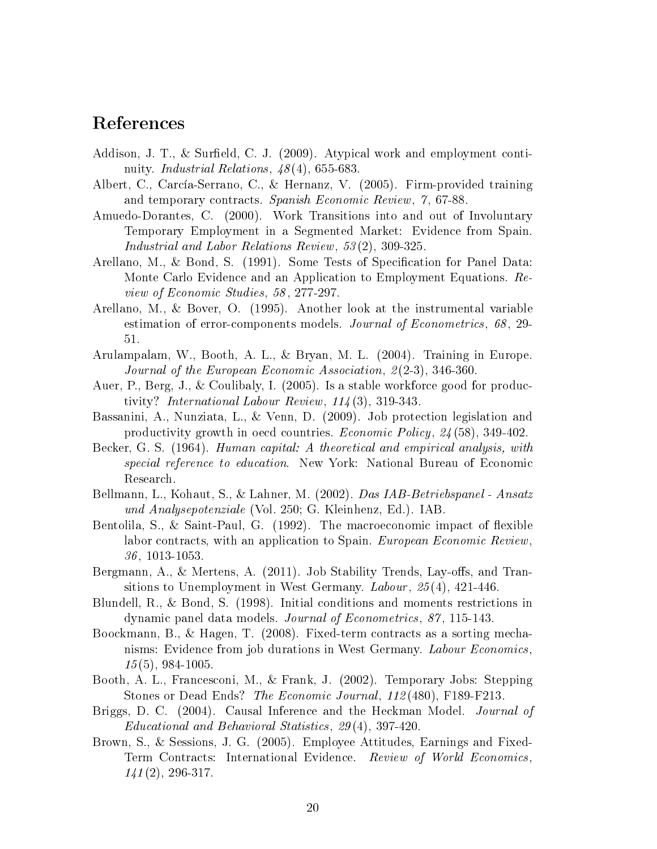# References

- Addison, J. T., & Surfield, C. J.  $(2009)$ . Atypical work and employment continuity. *Industrial Relations*,  $\frac{1}{8}(4)$ , 655-683.
- Albert, C., Carcía-Serrano, C., & Hernanz, V. (2005). Firm-provided training and temporary contracts. Spanish Economic Review, 7, 67-88.
- Amuedo-Dorantes, C. (2000). Work Transitions into and out of Involuntary Temporary Employment in a Segmented Market: Evidence from Spain. Industrial and Labor Relations Review, 53 (2), 309-325.
- Arellano, M., & Bond, S. (1991). Some Tests of Specification for Panel Data: Monte Carlo Evidence and an Application to Employment Equations. Review of Economic Studies, 58 , 277-297.
- Arellano, M., & Bover, O. (1995). Another look at the instrumental variable estimation of error-components models. Journal of Econometrics, 68, 29-51.
- Arulampalam, W., Booth, A. L., & Bryan, M. L. (2004). Training in Europe. Journal of the European Economic Association,  $2(2-3)$ , 346-360.
- Auer, P., Berg, J., & Coulibaly, I. (2005). Is a stable workforce good for productivity? International Labour Review, 114 (3), 319-343.
- Bassanini, A., Nunziata, L., & Venn, D. (2009). Job protection legislation and productivity growth in oecd countries. Economic Policy, 24 (58), 349-402.
- Becker, G. S. (1964). Human capital: A theoretical and empirical analysis, with special reference to education. New York: National Bureau of Economic Research.
- Bellmann, L., Kohaut, S., & Lahner, M. (2002). Das IAB-Betriebspanel Ansatz und Analysepotenziale (Vol. 250; G. Kleinhenz, Ed.). IAB.
- Bentolila, S., & Saint-Paul, G. (1992). The macroeconomic impact of flexible labor contracts, with an application to Spain. European Economic Review, 36 , 1013-1053.
- Bergmann, A., & Mertens, A. (2011). Job Stability Trends, Lay-offs, and Transitions to Unemployment in West Germany. Labour,  $25(4)$ , 421-446.
- Blundell, R., & Bond, S. (1998). Initial conditions and moments restrictions in dynamic panel data models. Journal of Econometrics, 87 , 115-143.
- Boockmann, B., & Hagen, T. (2008). Fixed-term contracts as a sorting mechanisms: Evidence from job durations in West Germany. Labour Economics,  $15(5)$ , 984-1005.
- Booth, A. L., Francesconi, M., & Frank, J. (2002). Temporary Jobs: Stepping Stones or Dead Ends? The Economic Journal, 112(480), F189-F213.
- Briggs, D. C. (2004). Causal Inference and the Heckman Model. *Journal of* Educational and Behavioral Statistics, 29 (4), 397-420.
- Brown, S., & Sessions, J. G. (2005). Employee Attitudes, Earnings and Fixed-Term Contracts: International Evidence. Review of World Economics,  $141(2), 296-317.$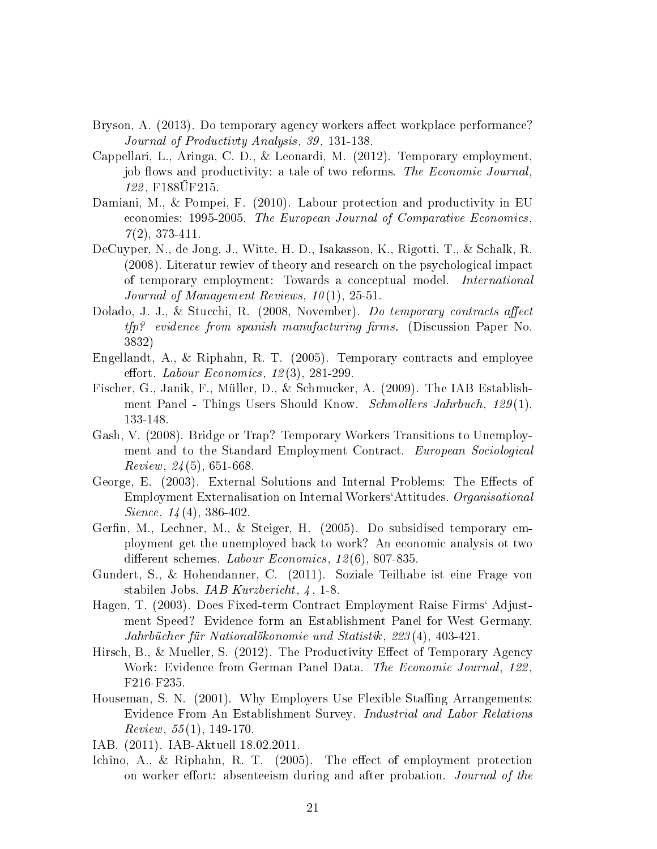- Bryson, A. (2013). Do temporary agency workers affect workplace performance? Journal of Productivty Analysis, 39 , 131-138.
- Cappellari, L., Aringa, C. D., & Leonardi, M. (2012). Temporary employment, job flows and productivity: a tale of two reforms. The Economic Journal, 122, F188UF215.
- Damiani, M., & Pompei, F. (2010). Labour protection and productivity in EU economies: 1995-2005. The European Journal of Comparative Economics,  $7(2), 373-411.$
- DeCuyper, N., de Jong, J., Witte, H. D., Isakasson, K., Rigotti, T., & Schalk, R. (2008). Literatur rewiev of theory and research on the psychological impact of temporary employment: Towards a conceptual model. International Journal of Management Reviews,  $10(1)$ , 25-51.
- Dolado, J. J., & Stucchi, R. (2008, November). Do temporary contracts affect  $tfp$ ? evidence from spanish manufacturing firms. (Discussion Paper No. 3832)
- Engellandt, A., & Riphahn, R. T. (2005). Temporary contracts and employee effort. Labour Economics,  $12(3)$ ,  $281-299$ .
- Fischer, G., Janik, F., Müller, D., & Schmucker, A. (2009). The IAB Establishment Panel - Things Users Should Know. Schmollers Jahrbuch, 129 (1), 133-148.
- Gash, V. (2008). Bridge or Trap? Temporary Workers Transitions to Unemployment and to the Standard Employment Contract. European Sociological *Review, 24* (5), 651-668.
- George, E. (2003). External Solutions and Internal Problems: The Effects of Employment Externalisation on Internal Workers`Attitudes. Organisational Sience,  $14(4)$ , 386-402.
- Gerfin, M., Lechner, M., & Steiger, H. (2005). Do subsidised temporary employment get the unemployed back to work? An economic analysis ot two different schemes. Labour Economics,  $12(6)$ , 807-835.
- Gundert, S., & Hohendanner, C. (2011). Soziale Teilhabe ist eine Frage von stabilen Jobs. IAB Kurzbericht, 4 , 1-8.
- Hagen, T. (2003). Does Fixed-term Contract Employment Raise Firms` Adjustment Speed? Evidence form an Establishment Panel for West Germany. Jahrbücher für Nationalökonomie und Statistik, 223 (4), 403-421.
- Hirsch, B., & Mueller, S.  $(2012)$ . The Productivity Effect of Temporary Agency Work: Evidence from German Panel Data. The Economic Journal, 122. F216-F235.
- Houseman, S. N. (2001). Why Employers Use Flexible Staffing Arrangements: Evidence From An Establishment Survey. Industrial and Labor Relations  $Review, 55(1), 149-170.$
- IAB. (2011). IAB-Aktuell 18.02.2011.
- Ichino, A., & Riphahn, R. T.  $(2005)$ . The effect of employment protection on worker effort: absenteeism during and after probation. Journal of the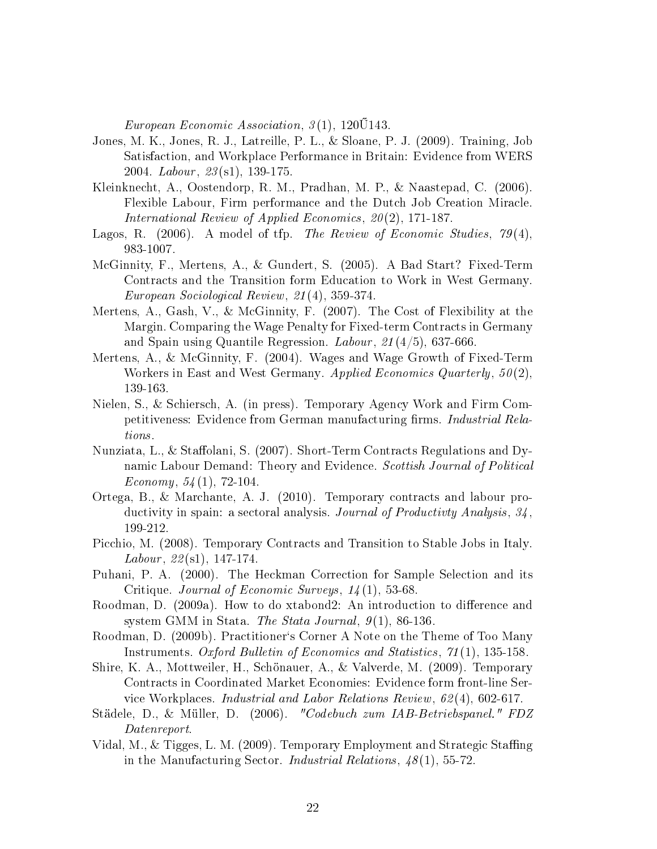European Economic Association,  $3(1)$ ,  $120\overline{0}143$ .

- Jones, M. K., Jones, R. J., Latreille, P. L., & Sloane, P. J. (2009). Training, Job Satisfaction, and Workplace Performance in Britain: Evidence from WERS 2004. Labour, 23(s1), 139-175.
- Kleinknecht, A., Oostendorp, R. M., Pradhan, M. P., & Naastepad, C. (2006). Flexible Labour, Firm performance and the Dutch Job Creation Miracle. International Review of Applied Economics, 20(2), 171-187.
- Lagos, R. (2006). A model of tfp. *The Review of Economic Studies*, 79(4), 983-1007.
- McGinnity, F., Mertens, A., & Gundert, S. (2005). A Bad Start? Fixed-Term Contracts and the Transition form Education to Work in West Germany. European Sociological Review, 21 (4), 359-374.
- Mertens, A., Gash, V., & McGinnity, F. (2007). The Cost of Flexibility at the Margin. Comparing the Wage Penalty for Fixed-term Contracts in Germany and Spain using Quantile Regression. Labour,  $21(4/5)$ , 637-666.
- Mertens, A., & McGinnity, F. (2004). Wages and Wage Growth of Fixed-Term Workers in East and West Germany. Applied Economics Quarterly,  $50(2)$ , 139-163.
- Nielen, S., & Schiersch, A. (in press). Temporary Agency Work and Firm Competitiveness: Evidence from German manufacturing firms. Industrial Relations.
- Nunziata, L., & Staffolani, S. (2007). Short-Term Contracts Regulations and Dynamic Labour Demand: Theory and Evidence. Scottish Journal of Political Economy,  $54(1)$ , 72-104.
- Ortega, B., & Marchante, A. J. (2010). Temporary contracts and labour productivity in spain: a sectoral analysis. Journal of Productivty Analysis, 34 , 199-212.
- Picchio, M. (2008). Temporary Contracts and Transition to Stable Jobs in Italy. Labour,  $22(s1)$ , 147-174.
- Puhani, P. A. (2000). The Heckman Correction for Sample Selection and its Critique. Journal of Economic Surveys,  $14(1)$ , 53-68.
- Roodman, D. (2009a). How to do xtabond2: An introduction to difference and system GMM in Stata. The Stata Journal,  $9(1)$ , 86-136.
- Roodman, D. (2009b). Practitioner`s Corner A Note on the Theme of Too Many Instruments. Oxford Bulletin of Economics and Statistics, 71 (1), 135-158.
- Shire, K. A., Mottweiler, H., Schönauer, A., & Valverde, M. (2009). Temporary Contracts in Coordinated Market Economies: Evidence form front-line Service Workplaces. Industrial and Labor Relations Review, 62 (4), 602-617.
- Städele, D., & Müller, D. (2006). "Codebuch zum IAB-Betriebspanel." FDZ Datenreport.
- Vidal, M., & Tigges, L. M. (2009). Temporary Employment and Strategic Staffing in the Manufacturing Sector. *Industrial Relations*,  $\frac{1}{8}(1)$ , 55-72.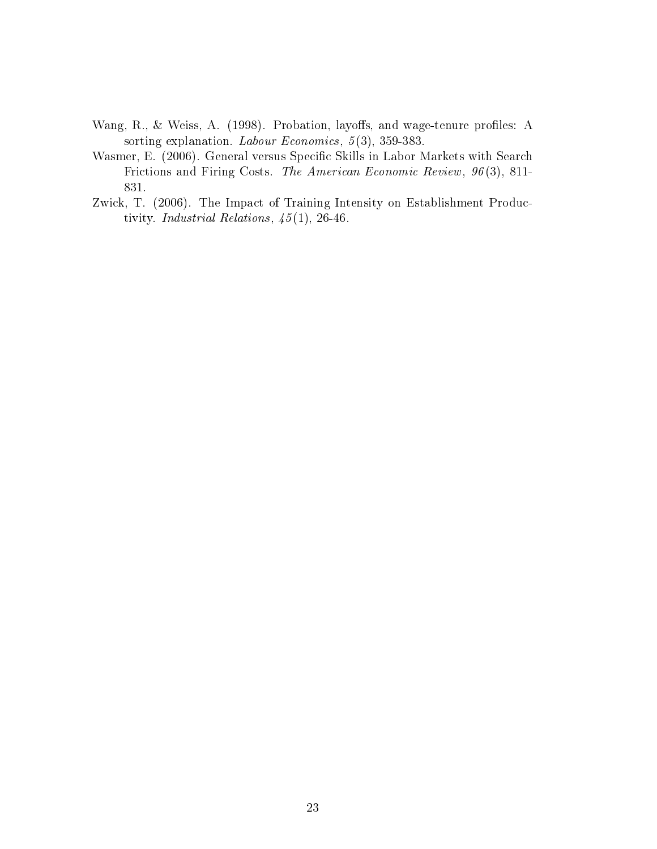- Wang, R., & Weiss, A. (1998). Probation, layoffs, and wage-tenure profiles: A sorting explanation. Labour Economics, 5(3), 359-383.
- Wasmer, E. (2006). General versus Specific Skills in Labor Markets with Search Frictions and Firing Costs. The American Economic Review, 96 (3), 811- 831.
- Zwick, T. (2006). The Impact of Training Intensity on Establishment Productivity. Industrial Relations,  $45(1)$ , 26-46.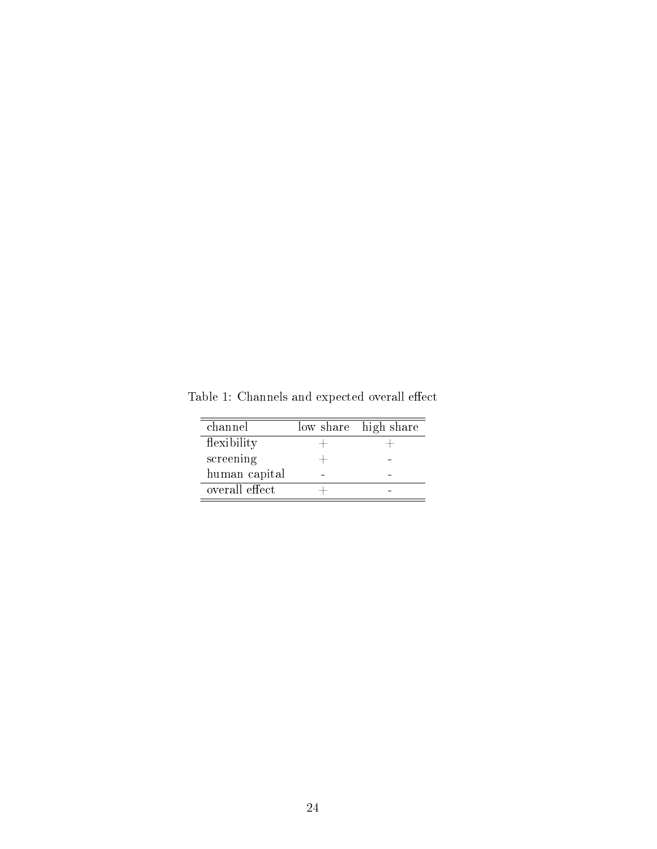| channel        |                                  | low share high share |
|----------------|----------------------------------|----------------------|
| flexibility    |                                  |                      |
| screening      | $\hspace{0.1mm} +\hspace{0.1mm}$ |                      |
| human capital  |                                  |                      |
| overall effect |                                  |                      |
|                |                                  |                      |

 ${\bf Table\ 1:}$  Channels and expected overall effect

 $\overline{a}$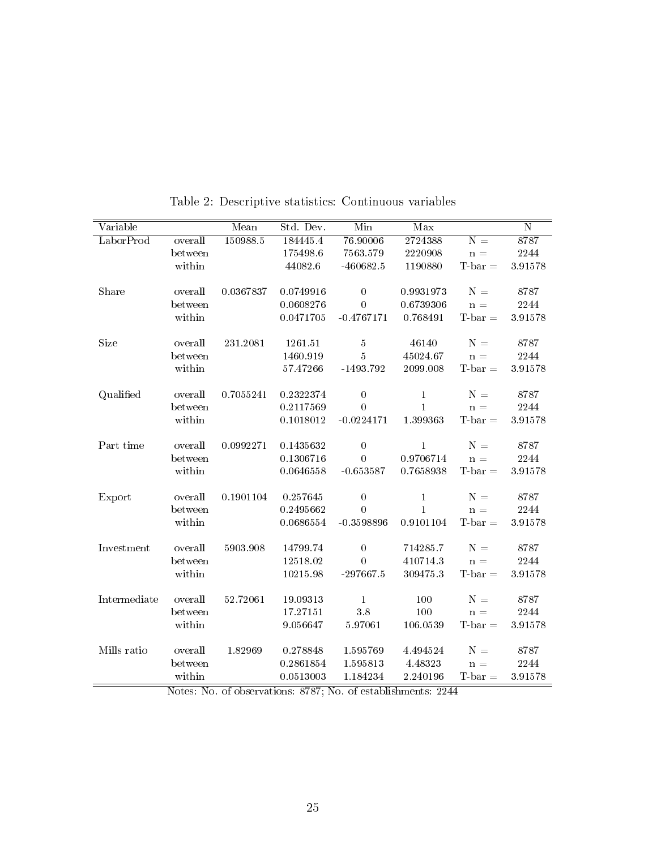| Variable     |                   | Mean      | Std. Dev.  | Min                | Max          |                                | $\overline{\rm N}$ |
|--------------|-------------------|-----------|------------|--------------------|--------------|--------------------------------|--------------------|
| LaborProd    | overall           | 150988.5  | 184445.4   | 76.90006           | 2724388      | $N =$                          | 8787               |
|              | between           |           | 175498.6   | 7563.579           | 2220908      | $n =$                          | 2244               |
|              | within            |           | 44082.6    | $-460682.5$        | 1190880      | $T$ -bar $=$                   | 3.91578            |
|              |                   |           |            |                    |              |                                |                    |
| Share        | overall           | 0.0367837 | 0.0749916  | $\overline{0}$     | 0.9931973    | $N =$                          | 8787               |
|              | between           |           | 0.0608276  | $\mathbf 0$        | 0.6739306    | $n =$                          | 2244               |
|              | within            |           | 0.0471705  | $-0.4767171$       | 0.768491     | $T$ -bar $=$                   | 3.91578            |
| Size         | overall           | 231.2081  | 1261.51    | 5                  | 46140        | $N =$                          | 8787               |
|              | between           |           | 1460.919   | $\overline{5}$     | 45024.67     | $n =$                          | 2244               |
|              | within            |           | 57.47266   | $-1493.792$        | 2099.008     | $T$ -bar $=$                   | 3.91578            |
|              |                   |           |            |                    |              |                                |                    |
| Qualified    | overall           | 0.7055241 | 0.2322374  | $\boldsymbol{0}$   | $\mathbf{1}$ | $N =$                          | 8787               |
|              | between           |           | 0.2117569  | $\boldsymbol{0}$   | $\mathbf{1}$ | $n =$                          | 2244               |
|              | within            |           | 0.1018012  | $-0.0224171$       | 1.399363     | $T-bar =$                      | 3.91578            |
|              |                   |           |            |                    |              |                                |                    |
| Part time    | $over all$        | 0.0992271 | 0.1435632  | $\boldsymbol{0}$   | $\mathbf{1}$ | $N =$                          | 8787               |
|              | between           |           | 0.1306716  | $\mathbf 0$        | 0.9706714    | $n =$                          | 2244               |
|              | within            |           | 0.0646558  | $-0.653587$        | 0.7658938    | $T$ -bar $=$                   | 3.91578            |
| Export       | overall           | 0.1901104 | 0.257645   | $\boldsymbol{0}$   | $\mathbf{1}$ | $N =$                          | 8787               |
|              | between           |           | 0.2495662  | $\overline{0}$     | $\mathbf{1}$ | $n =$                          | 2244               |
|              | within            |           | 0.0686554  | $-0.3598896$       | 0.9101104    | $T$ -bar $=$                   | 3.91578            |
|              |                   |           |            |                    |              |                                |                    |
| Investment   | overall           | 5903.908  | 14799.74   | $\boldsymbol{0}$   | 714285.7     | $N =$                          | 8787               |
|              | between           |           | 12518.02   | $\Omega$           | 410714.3     | $n =$                          | 2244               |
|              | within            |           | 10215.98   | $-297667.5$        | 309475.3     | $T-bar =$                      | 3.91578            |
| Intermediate | $\,$ overall $\,$ | 52.72061  | 19.09313   | $\mathbf{1}$       | 100          | $N =$                          | 8787               |
|              | between           |           | 17.27151   | 3.8                | 100          | $n =$                          | 2244               |
|              |                   |           |            |                    |              |                                |                    |
|              | within            |           | 9.056647   | 5.97061            | 106.0539     | $T$ -bar $=$                   | 3.91578            |
| Mills ratio  | overall           | 1.82969   | 0.278848   | 1.595769           | 4.494524     | $N =$                          | 8787               |
|              | between           |           | 0.2861854  | 1.595813           | 4.48323      | $n =$                          | 2244               |
|              | within            |           | 0.0513003  | 1.184234           | 2.240196     | ${\bf T}\text{-}{\bf bar}$ $=$ | 3.91578            |
|              |                   |           | $OHOH$ $N$ | $\sim$ $\sim$ 11.1 | $\sqrt{2}$   |                                |                    |

Table 2: Descriptive statistics: Continuous variables

Notes: No. of observations: 8787; No. of establishments: 2244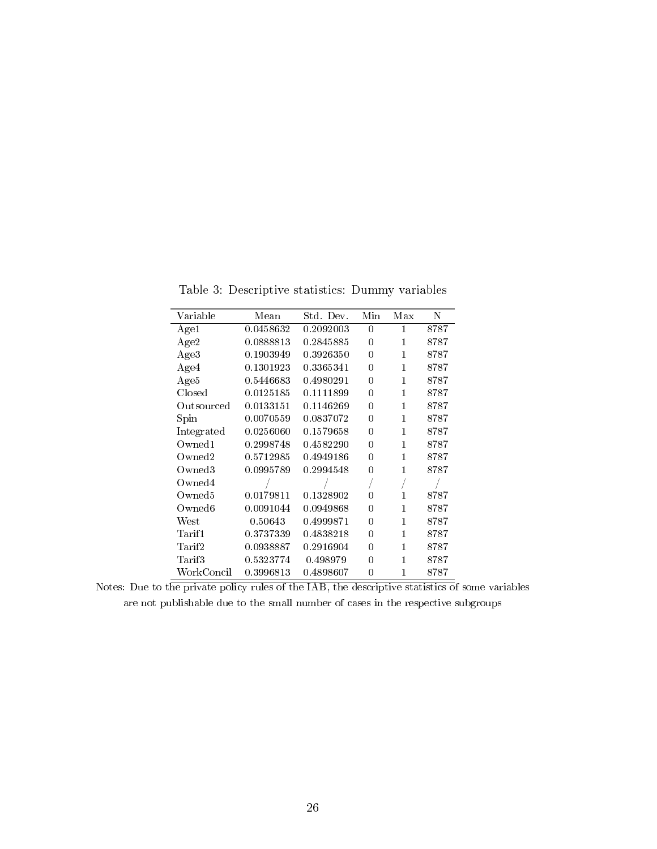Table 3: Descriptive statistics: Dummy variables

| Variable           | Mean      | Std. Dev. | Min      | Max | Ν    |
|--------------------|-----------|-----------|----------|-----|------|
| Agel               | 0.0458632 | 0.2092003 | $\Omega$ | 1   | 8787 |
| Age2               | 0.0888813 | 0.2845885 | $\Omega$ | 1   | 8787 |
| Age3               | 0.1903949 | 0.3926350 | 0        | 1   | 8787 |
| Age4               | 0.1301923 | 0.3365341 | $\Omega$ | 1   | 8787 |
| Age5               | 0.5446683 | 0.4980291 | 0        | 1   | 8787 |
| $\mathrm{Closed}$  | 0.0125185 | 0.1111899 | 0        | 1   | 8787 |
| Outsourced         | 0.0133151 | 0.1146269 | 0        | 1   | 8787 |
| Spin               | 0.0070559 | 0.0837072 | 0        | 1   | 8787 |
| Integrated         | 0.0256060 | 0.1579658 | $\Omega$ | 1   | 8787 |
| Owned1             | 0.2998748 | 0.4582290 | 0        | 1   | 8787 |
| Owned2             | 0.5712985 | 0.4949186 | 0        | 1   | 8787 |
| Owned3             | 0.0995789 | 0.2994548 | 0        | 1   | 8787 |
| Owned4             |           |           |          |     |      |
| Owned5             | 0.0179811 | 0.1328902 | 0        | 1   | 8787 |
| Owned <sub>6</sub> | 0.0091044 | 0.0949868 | 0        | 1   | 8787 |
| West               | 0.50643   | 0.4999871 | 0        | 1   | 8787 |
| Tarif1             | 0.3737339 | 0.4838218 | 0        | 1   | 8787 |
| Tarif2             | 0.0938887 | 0.2916904 | 0        | 1   | 8787 |
| Tarif3             | 0.5323774 | 0.498979  | $\Omega$ | 1   | 8787 |
| WorkConcil         | 0.3996813 | 0.4898607 | $\Omega$ | 1   | 8787 |

Notes: Due to the private policy rules of the IAB, the descriptive statistics of some variables are not publishable due to the small number of cases in the respective subgroups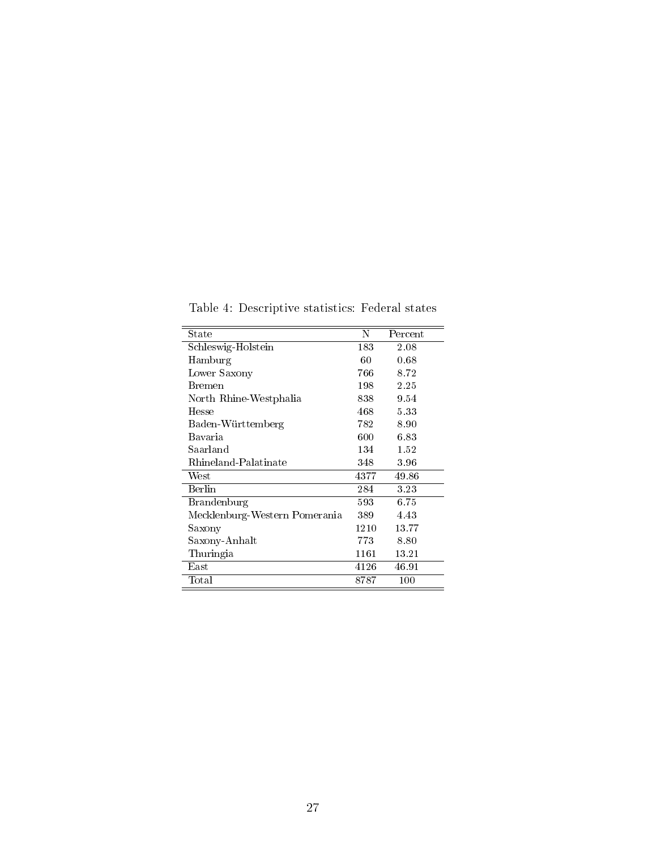| State                         | Ν    | Percent  |
|-------------------------------|------|----------|
| Schleswig-Holstein            | 183  | 2.08     |
| Hamburg                       | 60   | 0.68     |
| Lower Saxony                  | 766  | 8.72     |
| Bremen                        | 198  | $2.25\,$ |
| North Rhine-Westphalia        | 838  | 9.54     |
| Hesse                         | 468  | 5.33     |
| Baden-Württemberg             | 782  | 8.90     |
| Bavaria                       | 600  | 6.83     |
| Saarland                      | 134  | 1.52     |
| Rhineland-Palatinate          | 348  | $3.96\,$ |
| West                          | 4377 | 49.86    |
| Berlin                        | 284  | 3.23     |
| <b>Brandenburg</b>            | 593  | 6.75     |
| Mecklenburg-Western Pomerania | 389  | 4.43     |
| Saxony                        | 1210 | 13.77    |
| Saxony-Anhalt                 | 773  | 8.80     |
| Thuringia                     | 1161 | 13.21    |
| $\rm East$                    | 4126 | 46.91    |
| Total                         | 8787 | 100      |

Table 4: Descriptive statistics: Federal states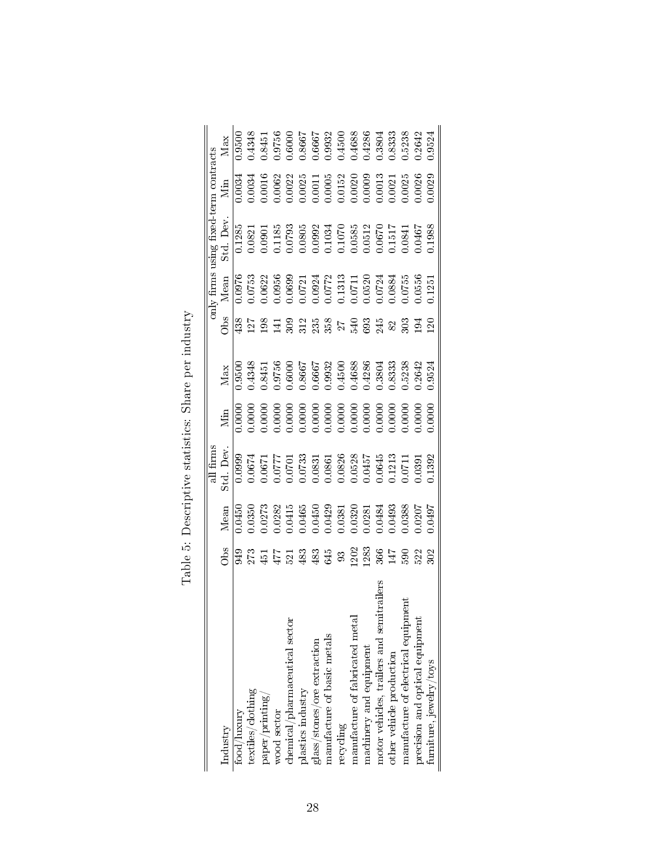|                                     |                |      |                                                                                                                                                                                                                                                                  |                                                                                                                                                                                                                                                                                             |                                                                                                                                                                                                                                                                                             |                 | only firms using f |                                                                                                                                                                                                                                                                   |                                                                                                                                                                                                                                                                                                             |                                                                                                                                                                                                                                                                                             |
|-------------------------------------|----------------|------|------------------------------------------------------------------------------------------------------------------------------------------------------------------------------------------------------------------------------------------------------------------|---------------------------------------------------------------------------------------------------------------------------------------------------------------------------------------------------------------------------------------------------------------------------------------------|---------------------------------------------------------------------------------------------------------------------------------------------------------------------------------------------------------------------------------------------------------------------------------------------|-----------------|--------------------|-------------------------------------------------------------------------------------------------------------------------------------------------------------------------------------------------------------------------------------------------------------------|-------------------------------------------------------------------------------------------------------------------------------------------------------------------------------------------------------------------------------------------------------------------------------------------------------------|---------------------------------------------------------------------------------------------------------------------------------------------------------------------------------------------------------------------------------------------------------------------------------------------|
| Industry                            | $\frac{1}{20}$ | Mean | all firms<br>td. Dev.                                                                                                                                                                                                                                            | Min                                                                                                                                                                                                                                                                                         | $\frac{\text{Max}}{\text{Max}}$                                                                                                                                                                                                                                                             | O <sub>bs</sub> | Mean               | td. Dev                                                                                                                                                                                                                                                           |                                                                                                                                                                                                                                                                                                             | $\frac{\text{Max}}{\text{Max}}$                                                                                                                                                                                                                                                             |
| food/luxury                         |                |      |                                                                                                                                                                                                                                                                  |                                                                                                                                                                                                                                                                                             | 0.9500                                                                                                                                                                                                                                                                                      | 138             |                    |                                                                                                                                                                                                                                                                   |                                                                                                                                                                                                                                                                                                             | 0.9500                                                                                                                                                                                                                                                                                      |
| textiles/clothing                   |                |      |                                                                                                                                                                                                                                                                  |                                                                                                                                                                                                                                                                                             |                                                                                                                                                                                                                                                                                             |                 |                    |                                                                                                                                                                                                                                                                   |                                                                                                                                                                                                                                                                                                             |                                                                                                                                                                                                                                                                                             |
| paper/printing/                     |                |      |                                                                                                                                                                                                                                                                  |                                                                                                                                                                                                                                                                                             |                                                                                                                                                                                                                                                                                             |                 |                    |                                                                                                                                                                                                                                                                   |                                                                                                                                                                                                                                                                                                             |                                                                                                                                                                                                                                                                                             |
| wood sector                         |                |      |                                                                                                                                                                                                                                                                  |                                                                                                                                                                                                                                                                                             |                                                                                                                                                                                                                                                                                             |                 |                    |                                                                                                                                                                                                                                                                   |                                                                                                                                                                                                                                                                                                             |                                                                                                                                                                                                                                                                                             |
| chemical/bham acettical sector      |                |      |                                                                                                                                                                                                                                                                  |                                                                                                                                                                                                                                                                                             |                                                                                                                                                                                                                                                                                             |                 |                    |                                                                                                                                                                                                                                                                   |                                                                                                                                                                                                                                                                                                             |                                                                                                                                                                                                                                                                                             |
| plastics industry                   |                |      |                                                                                                                                                                                                                                                                  |                                                                                                                                                                                                                                                                                             |                                                                                                                                                                                                                                                                                             | 312             |                    |                                                                                                                                                                                                                                                                   |                                                                                                                                                                                                                                                                                                             |                                                                                                                                                                                                                                                                                             |
| glass/stones/ore extraction         |                |      |                                                                                                                                                                                                                                                                  |                                                                                                                                                                                                                                                                                             |                                                                                                                                                                                                                                                                                             | 33859           |                    |                                                                                                                                                                                                                                                                   |                                                                                                                                                                                                                                                                                                             |                                                                                                                                                                                                                                                                                             |
| manufacture of basic metals         |                |      |                                                                                                                                                                                                                                                                  |                                                                                                                                                                                                                                                                                             |                                                                                                                                                                                                                                                                                             |                 |                    |                                                                                                                                                                                                                                                                   |                                                                                                                                                                                                                                                                                                             |                                                                                                                                                                                                                                                                                             |
| recycling                           |                |      |                                                                                                                                                                                                                                                                  |                                                                                                                                                                                                                                                                                             |                                                                                                                                                                                                                                                                                             |                 |                    |                                                                                                                                                                                                                                                                   |                                                                                                                                                                                                                                                                                                             |                                                                                                                                                                                                                                                                                             |
| manufacture of fabricated metal     |                |      |                                                                                                                                                                                                                                                                  |                                                                                                                                                                                                                                                                                             |                                                                                                                                                                                                                                                                                             |                 |                    |                                                                                                                                                                                                                                                                   |                                                                                                                                                                                                                                                                                                             |                                                                                                                                                                                                                                                                                             |
| machinery and equipment             |                |      |                                                                                                                                                                                                                                                                  |                                                                                                                                                                                                                                                                                             |                                                                                                                                                                                                                                                                                             |                 |                    |                                                                                                                                                                                                                                                                   |                                                                                                                                                                                                                                                                                                             |                                                                                                                                                                                                                                                                                             |
| motor vehicles, trailers and semitr | 366            |      |                                                                                                                                                                                                                                                                  |                                                                                                                                                                                                                                                                                             |                                                                                                                                                                                                                                                                                             | 33<br>245       |                    |                                                                                                                                                                                                                                                                   |                                                                                                                                                                                                                                                                                                             |                                                                                                                                                                                                                                                                                             |
| other vehicle production            | 147            |      |                                                                                                                                                                                                                                                                  |                                                                                                                                                                                                                                                                                             |                                                                                                                                                                                                                                                                                             | 82              |                    |                                                                                                                                                                                                                                                                   |                                                                                                                                                                                                                                                                                                             |                                                                                                                                                                                                                                                                                             |
| manufacture of electrical equipment |                |      | $\begin{array}{r} 0.0999\\ 0.0674\\ 0.06771\\ 0.06771\\ 0.0771\\ 0.0771\\ 0.0771\\ 0.0000\\ 0.0835\\ 0.0865\\ 0.0826\\ 0.0328\\ 0.0328\\ 0.0303\\ 0.0303\\ 0.0303\\ 0.0392\\ 0.0392\\ 0.1213\\ 0.0302\\ 0.01392\\ 0.01392\\ 0.01392\\ 0.01392\\ 0.01392\\ 0.013$ | $\begin{array}{l} 0.0000 \\ 0.0000 \\ 0.0000 \\ 0.0000 \\ 0.0000 \\ 0.0000 \\ 0.0000 \\ 0.0000 \\ 0.0000 \\ 0.0000 \\ 0.0000 \\ 0.0000 \\ 0.0000 \\ 0.0000 \\ 0.0000 \\ 0.0000 \\ 0.0000 \\ 0.0000 \\ 0.0000 \\ 0.0000 \\ 0.0000 \\ 0.0000 \\ 0.0000 \\ 0.0000 \\ 0.0000 \\ 0.0000 \\ 0.00$ | $\begin{array}{l} 1.4348 \\ 1.8451 \\ 0.6000 \\ 0.6000 \\ 0.6000 \\ 0.6000 \\ 0.6000 \\ 0.6000 \\ 0.6000 \\ 0.6000 \\ 0.6000 \\ 0.6000 \\ 0.6000 \\ 0.6000 \\ 0.6000 \\ 0.6000 \\ 0.6000 \\ 0.6000 \\ 0.6000 \\ 0.6000 \\ 0.6000 \\ 0.6000 \\ 0.6000 \\ 0.6000 \\ 0.6000 \\ 0.6000 \\ 0.60$ |                 |                    | $\begin{array}{r} 0.1285\\ 0.0821\\ 0.0901\\ 0.1185\\ 0.0793\\ 0.0805\\ 0.0092\\ 0.0000\\ 0.0000\\ 0.0000\\ 0.0000\\ 0.0000\\ 0.0000\\ 0.0000\\ 0.0000\\ 0.0000\\ 0.0000\\ 0.0000\\ 0.0000\\ 0.0000\\ 0.0000\\ 0.0000\\ 0.0000\\ 0.0000\\ 0.0000\\ 0.0000\\ 0.00$ | $\begin{array}{r} \underline{\text{Min}} \\ 1.0034 \\ 1.0034 \\ 0.0034 \\ 0.0002 \\ 0.0003 \\ 0.0003 \\ 0.0001 \\ 0.0000 \\ 0.0000 \\ 0.0000 \\ 0.0000 \\ 0.0000 \\ 0.0000 \\ 0.0000 \\ 0.0000 \\ 0.0003 \\ 0.0003 \\ 0.0003 \\ 0.0003 \\ 0.0003 \\ 0.0003 \\ 0.0003 \\ 0.0003 \\ 0.0003 \\ 0.0003 \\ 0.00$ | $\begin{array}{l} 0.4348 \\ 0.8451 \\ 0.8600 \\ 0.6000 \\ 0.6000 \\ 0.6000 \\ 0.6000 \\ 0.6000 \\ 0.6000 \\ 0.6000 \\ 0.6000 \\ 0.6000 \\ 0.6000 \\ 0.6000 \\ 0.6000 \\ 0.6000 \\ 0.6000 \\ 0.6000 \\ 0.6000 \\ 0.6000 \\ 0.6000 \\ 0.6000 \\ 0.6000 \\ 0.6000 \\ 0.6000 \\ 0.6000 \\ 0.60$ |
| precision and optical equipment     | 588<br>588     |      |                                                                                                                                                                                                                                                                  |                                                                                                                                                                                                                                                                                             |                                                                                                                                                                                                                                                                                             | 303<br>191      |                    |                                                                                                                                                                                                                                                                   |                                                                                                                                                                                                                                                                                                             |                                                                                                                                                                                                                                                                                             |
| furniture, jewelry/toys             |                |      |                                                                                                                                                                                                                                                                  |                                                                                                                                                                                                                                                                                             | 0.9524                                                                                                                                                                                                                                                                                      | $\Xi$           |                    |                                                                                                                                                                                                                                                                   |                                                                                                                                                                                                                                                                                                             | 1.9524                                                                                                                                                                                                                                                                                      |

| Descriptive statistics: Share per industry<br>Table 5: L |  |
|----------------------------------------------------------|--|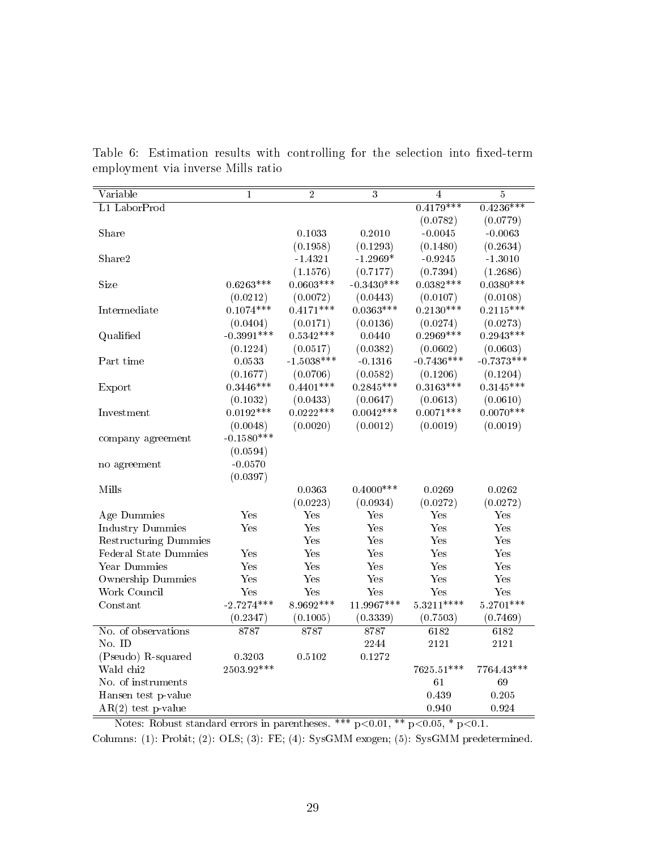| Variable                     | 1            | $\overline{2}$ | $\overline{3}$ | 4            | $\overline{5}$ |
|------------------------------|--------------|----------------|----------------|--------------|----------------|
| L1 LaborProd                 |              |                |                | $0.4179***$  | $0.4236***$    |
|                              |              |                |                | (0.0782)     | (0.0779)       |
| Share                        |              | 0.1033         | 0.2010         | $-0.0045$    | $-0.0063$      |
|                              |              | (0.1958)       | (0.1293)       | (0.1480)     | (0.2634)       |
| Share2                       |              | $-1.4321$      | $-1.2969*$     | $-0.9245$    | $-1.3010$      |
|                              |              | (1.1576)       | (0.7177)       | (0.7394)     | (1.2686)       |
| Size                         | $0.6263***$  | $0.0603***$    | $-0.3430***$   | $0.0382***$  | $0.0380***$    |
|                              | (0.0212)     | (0.0072)       | (0.0443)       | (0.0107)     | (0.0108)       |
| Intermediate                 | $0.1074***$  | $0.4171***$    | $0.0363***$    | $0.2130***$  | $0.2115***$    |
|                              | (0.0404)     | (0.0171)       | (0.0136)       | (0.0274)     | (0.0273)       |
| Qualified                    | $-0.3991***$ | $0.5342***$    | 0.0440         | $0.2969***$  | $0.2943***$    |
|                              | (0.1224)     | (0.0517)       | (0.0382)       | (0.0602)     | (0.0603)       |
| Part time                    | 0.0533       | $-1.5038***$   | $-0.1316$      | $-0.7436***$ | $-0.7373***$   |
|                              | (0.1677)     | (0.0706)       | (0.0582)       | (0.1206)     | (0.1204)       |
| Export                       | $0.3446***$  | $0.4401***$    | $0.2845***$    | $0.3163***$  | $0.3145***$    |
|                              | (0.1032)     | (0.0433)       | (0.0647)       | (0.0613)     | (0.0610)       |
| Investment                   | $0.0192***$  | $0.0222***$    | $0.0042***$    | $0.0071***$  | $0.0070***$    |
|                              | (0.0048)     | (0.0020)       | (0.0012)       | (0.0019)     | (0.0019)       |
| company agreement            | $-0.1580***$ |                |                |              |                |
|                              | (0.0594)     |                |                |              |                |
| no agreement                 | $-0.0570$    |                |                |              |                |
|                              | (0.0397)     |                |                |              |                |
| Mills                        |              | 0.0363         | $0.4000$ ***   | 0.0269       | 0.0262         |
|                              |              | (0.0223)       | (0.0934)       | (0.0272)     | (0.0272)       |
| Age Dummies                  | Yes          | Yes            | Yes            | Yes          | Yes            |
| <b>Industry Dummies</b>      | Yes          | Yes            | Yes            | Yes          | Yes            |
| <b>Restructuring Dummies</b> |              | Yes            | Yes            | Yes          | Yes            |
| <b>Federal State Dummies</b> | Yes          | Yes            | Yes            | Yes          | Yes            |
| Year Dummies                 | Yes          | Yes            | Yes            | Yes          | Yes            |
| Ownership Dummies            | Yes          | Yes            | Yes            | Yes          | Yes            |
| Work Council                 | Yes          | Yes            | Yes            | Yes          | Yes            |
| Constant                     | $-2.7274***$ | 8.9692***      | 11.9967***     | $5.3211***$  | 5.2701***      |
|                              | (0.2347)     | (0.1005)       | (0.3339)       | (0.7503)     | (0.7469)       |
| No. of observations          | 8787         | 8787           | 8787           | 6182         | 6182           |
| No. ID                       |              |                | 2244           | 2121         | 2121           |
| (Pseudo) R-squared           | 0.3203       | 0.5102         | 0.1272         |              |                |
| Wald chi2                    | 2503.92***   |                |                | 7625.51***   | 7764.43***     |
| No. of instruments           |              |                |                | 61           | 69             |
| Hansen test p-value          |              |                |                | 0.439        | 0.205          |
| $AR(2)$ test p-value         |              |                |                | 0.940        | 0.924          |

Table 6: Estimation results with controlling for the selection into fixed-term employment via inverse Mills ratio

Notes: Robust standard errors in parentheses. \*\*\*  $p<0.01$ , \*\*  $p<0.05$ , \*  $p<0.1$ .

Columns: (1): Probit; (2): OLS; (3): FE; (4): SysGMM exogen; (5): SysGMM predetermined.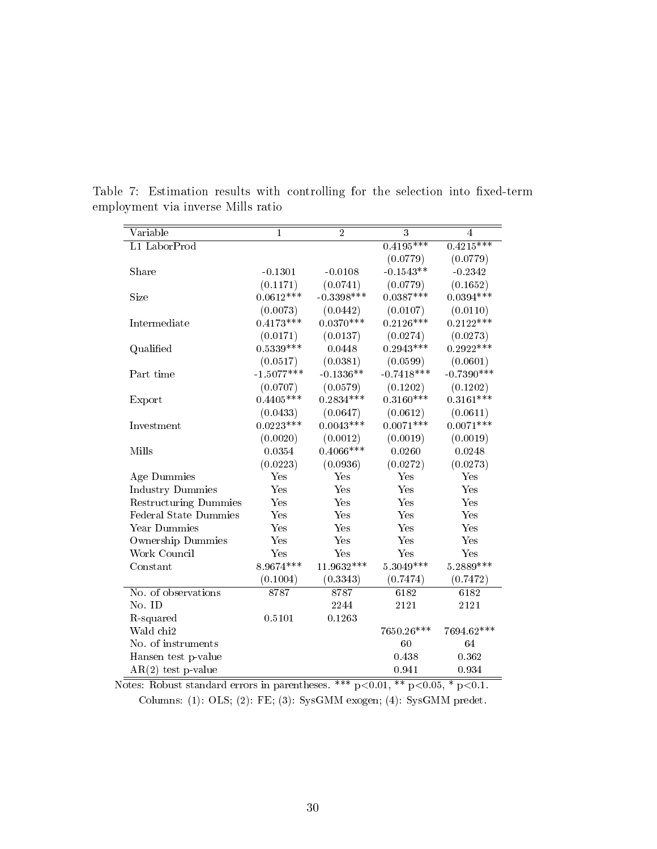| Variable                     | 1            | $\overline{2}$ | 3            | 4                 |
|------------------------------|--------------|----------------|--------------|-------------------|
| L1 LaborProd                 |              |                | $0.4195***$  | $0.4215***$       |
|                              |              |                | (0.0779)     | (0.0779)          |
| Share                        | $-0.1301$    | $-0.0108$      | $-0.1543**$  | $-0.2342$         |
|                              | (0.1171)     | (0.0741)       | (0.0779)     | (0.1652)          |
| Size                         | $0.0612***$  | $-0.3398***$   | $0.0387***$  | $0.0394***$       |
|                              | (0.0073)     | (0.0442)       | (0.0107)     | (0.0110)          |
| Intermediate                 | $0.4173***$  | $0.0370***$    | $0.2126***$  | $0.2122***$       |
|                              | (0.0171)     | (0.0137)       | (0.0274)     | (0.0273)          |
| Qualified                    | $0.5339***$  | 0.0448         | $0.2943***$  | $0.2922***$       |
|                              | (0.0517)     | (0.0381)       | (0.0599)     | (0.0601)          |
| Part time                    | $-1.5077***$ | $-0.1336**$    | $-0.7418***$ | $-0.7390***$      |
|                              | (0.0707)     | (0.0579)       | (0.1202)     | (0.1202)          |
| Export                       | $0.4405***$  | $0.2834***$    | $0.3160***$  | $0.3161***$       |
|                              | (0.0433)     | (0.0647)       | (0.0612)     | (0.0611)          |
| Investment                   | $0.0223***$  | $0.0043***$    | $0.0071***$  | $0.0071***$       |
|                              | (0.0020)     | (0.0012)       | (0.0019)     | (0.0019)          |
| Mills                        | 0.0354       | $0.4066***$    | 0.0260       | 0.0248            |
|                              | (0.0223)     | (0.0936)       | (0.0272)     | (0.0273)          |
| Age Dummies                  | Yes          | Yes            | Yes          | Yes               |
| <b>Industry Dummies</b>      | Yes          | Yes            | Yes          | Yes               |
| <b>Restructuring Dummies</b> | Yes          | Yes            | Yes          | Yes               |
| <b>Federal State Dummies</b> | Yes          | Yes            | Yes          | Yes               |
| Year Dummies                 | Yes          | Yes            | Yes          | Yes               |
| Ownership Dummies            | Yes          | Yes            | Yes          | Yes               |
| Work Council                 | Yes          | Yes            | Yes          | Yes               |
| Constant                     | 8.9674***    | 11.9632 ***    | $5.3049***$  | 5.2889 ***        |
|                              | (0.1004)     | (0.3343)       | (0.7474)     | (0.7472)          |
| No. of observations          | 8787         | 8787           | 6182         | $\overline{6182}$ |
| No. ID                       |              | 2244           | 2121         | 2121              |
| R-squared                    | 0.5101       | 0.1263         |              |                   |
| Wald chi2                    |              |                | 7650.26***   | 7694.62***        |
| No. of instruments           |              |                | 60           | 64                |
| Hansen test p-value          |              |                | 0.438        | 0.362             |
| $AR(2)$ test p-value         |              |                | 0.941        | 0.934             |

Table 7: Estimation results with controlling for the selection into fixed-term employment via inverse Mills ratio

Notes: Robust standard errors in parentheses. \*\*\*  $p<0.01$ , \*\*  $p<0.05$ , \*  $p<0.1$ . Columns: (1): OLS; (2): FE; (3): SysGMM exogen; (4): SysGMM predet.